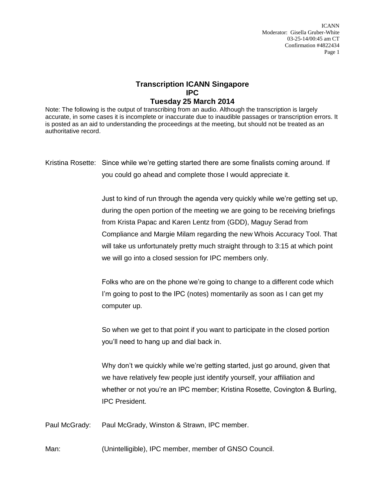ICANN Moderator: Gisella Gruber-White 03-25-14/00:45 am CT Confirmation #4822434 Page 1

## **Transcription ICANN Singapore IPC**

## **Tuesday 25 March 2014**

Note: The following is the output of transcribing from an audio. Although the transcription is largely accurate, in some cases it is incomplete or inaccurate due to inaudible passages or transcription errors. It is posted as an aid to understanding the proceedings at the meeting, but should not be treated as an authoritative record.

Kristina Rosette: Since while we're getting started there are some finalists coming around. If you could go ahead and complete those I would appreciate it.

> Just to kind of run through the agenda very quickly while we're getting set up, during the open portion of the meeting we are going to be receiving briefings from Krista Papac and Karen Lentz from (GDD), Maguy Serad from Compliance and Margie Milam regarding the new Whois Accuracy Tool. That will take us unfortunately pretty much straight through to 3:15 at which point we will go into a closed session for IPC members only.

Folks who are on the phone we're going to change to a different code which I'm going to post to the IPC (notes) momentarily as soon as I can get my computer up.

So when we get to that point if you want to participate in the closed portion you'll need to hang up and dial back in.

Why don't we quickly while we're getting started, just go around, given that we have relatively few people just identify yourself, your affiliation and whether or not you're an IPC member; Kristina Rosette, Covington & Burling, IPC President.

Paul McGrady: Paul McGrady, Winston & Strawn, IPC member.

Man: (Unintelligible), IPC member, member of GNSO Council.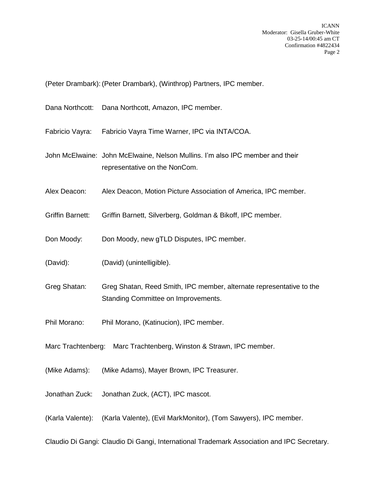(Peter Drambark): (Peter Drambark), (Winthrop) Partners, IPC member.

- Dana Northcott: Dana Northcott, Amazon, IPC member.
- Fabricio Vayra: Fabricio Vayra Time Warner, IPC via INTA/COA.
- John McElwaine: John McElwaine, Nelson Mullins. I'm also IPC member and their representative on the NonCom.
- Alex Deacon: Alex Deacon, Motion Picture Association of America, IPC member.
- Griffin Barnett: Griffin Barnett, Silverberg, Goldman & Bikoff, IPC member.
- Don Moody: Don Moody, new gTLD Disputes, IPC member.
- (David): (David) (unintelligible).
- Greg Shatan: Greg Shatan, Reed Smith, IPC member, alternate representative to the Standing Committee on Improvements.
- Phil Morano: Phil Morano, (Katinucion), IPC member.
- Marc Trachtenberg: Marc Trachtenberg, Winston & Strawn, IPC member.
- (Mike Adams): (Mike Adams), Mayer Brown, IPC Treasurer.
- Jonathan Zuck: Jonathan Zuck, (ACT), IPC mascot.
- (Karla Valente): (Karla Valente), (Evil MarkMonitor), (Tom Sawyers), IPC member.

Claudio Di Gangi: Claudio Di Gangi, International Trademark Association and IPC Secretary.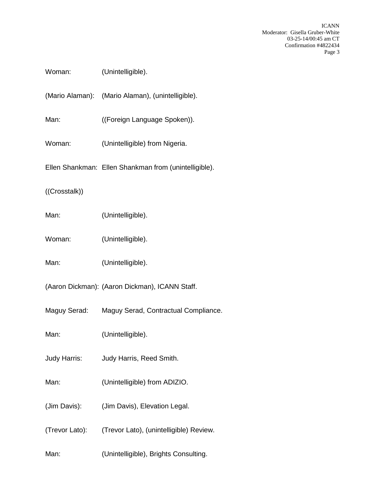ICANN Moderator: Gisella Gruber-White 03-25-14/00:45 am CT Confirmation #4822434 Page 3

| Woman:        | (Unintelligible).                                      |
|---------------|--------------------------------------------------------|
|               | (Mario Alaman): (Mario Alaman), (unintelligible).      |
| Man:          | ((Foreign Language Spoken)).                           |
| Woman:        | (Unintelligible) from Nigeria.                         |
|               | Ellen Shankman: Ellen Shankman from (unintelligible).  |
| ((Crosstalk)) |                                                        |
| Man:          | (Unintelligible).                                      |
| Woman:        | (Unintelligible).                                      |
| Man:          | (Unintelligible).                                      |
|               | (Aaron Dickman): (Aaron Dickman), ICANN Staff.         |
|               | Maguy Serad: Maguy Serad, Contractual Compliance.      |
| Man:          | (Unintelligible).                                      |
| Judy Harris:  | Judy Harris, Reed Smith.                               |
| Man:          | (Unintelligible) from ADIZIO.                          |
| (Jim Davis):  | (Jim Davis), Elevation Legal.                          |
|               | (Trevor Lato): (Trevor Lato), (unintelligible) Review. |
| Man:          | (Unintelligible), Brights Consulting.                  |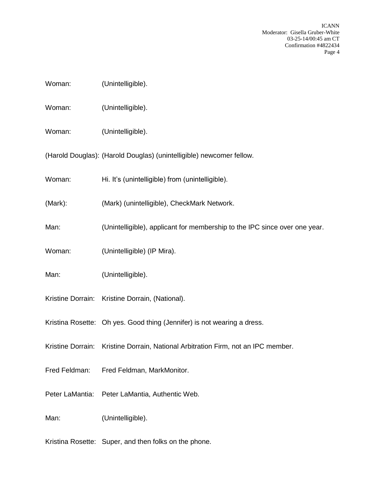ICANN Moderator: Gisella Gruber-White 03-25-14/00:45 am CT Confirmation #4822434 Page 4

| Woman: | (Unintelligible). |
|--------|-------------------|
|        |                   |

Woman: (Unintelligible).

Woman: (Unintelligible).

(Harold Douglas): (Harold Douglas) (unintelligible) newcomer fellow.

- Woman: Hi. It's (unintelligible) from (unintelligible).
- (Mark): (Mark) (unintelligible), CheckMark Network.
- Man: (Unintelligible), applicant for membership to the IPC since over one year.
- Woman: (Unintelligible) (IP Mira).
- Man: (Unintelligible).
- Kristine Dorrain: Kristine Dorrain, (National).

Kristina Rosette: Oh yes. Good thing (Jennifer) is not wearing a dress.

- Kristine Dorrain: Kristine Dorrain, National Arbitration Firm, not an IPC member.
- Fred Feldman: Fred Feldman, MarkMonitor.
- Peter LaMantia: Peter LaMantia, Authentic Web.

Man: (Unintelligible).

Kristina Rosette: Super, and then folks on the phone.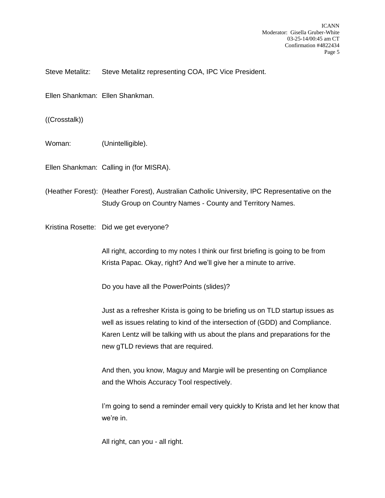Steve Metalitz: Steve Metalitz representing COA, IPC Vice President.

Ellen Shankman: Ellen Shankman.

((Crosstalk))

Woman: (Unintelligible).

Ellen Shankman: Calling in (for MISRA).

(Heather Forest): (Heather Forest), Australian Catholic University, IPC Representative on the Study Group on Country Names - County and Territory Names.

Kristina Rosette: Did we get everyone?

All right, according to my notes I think our first briefing is going to be from Krista Papac. Okay, right? And we'll give her a minute to arrive.

Do you have all the PowerPoints (slides)?

Just as a refresher Krista is going to be briefing us on TLD startup issues as well as issues relating to kind of the intersection of (GDD) and Compliance. Karen Lentz will be talking with us about the plans and preparations for the new gTLD reviews that are required.

And then, you know, Maguy and Margie will be presenting on Compliance and the Whois Accuracy Tool respectively.

I'm going to send a reminder email very quickly to Krista and let her know that we're in.

All right, can you - all right.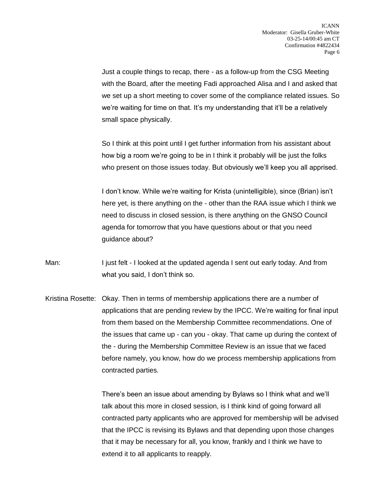Just a couple things to recap, there - as a follow-up from the CSG Meeting with the Board, after the meeting Fadi approached Alisa and I and asked that we set up a short meeting to cover some of the compliance related issues. So we're waiting for time on that. It's my understanding that it'll be a relatively small space physically.

So I think at this point until I get further information from his assistant about how big a room we're going to be in I think it probably will be just the folks who present on those issues today. But obviously we'll keep you all apprised.

I don't know. While we're waiting for Krista (unintelligible), since (Brian) isn't here yet, is there anything on the - other than the RAA issue which I think we need to discuss in closed session, is there anything on the GNSO Council agenda for tomorrow that you have questions about or that you need guidance about?

- Man: I just felt I looked at the updated agenda I sent out early today. And from what you said, I don't think so.
- Kristina Rosette: Okay. Then in terms of membership applications there are a number of applications that are pending review by the IPCC. We're waiting for final input from them based on the Membership Committee recommendations. One of the issues that came up - can you - okay. That came up during the context of the - during the Membership Committee Review is an issue that we faced before namely, you know, how do we process membership applications from contracted parties.

There's been an issue about amending by Bylaws so I think what and we'll talk about this more in closed session, is I think kind of going forward all contracted party applicants who are approved for membership will be advised that the IPCC is revising its Bylaws and that depending upon those changes that it may be necessary for all, you know, frankly and I think we have to extend it to all applicants to reapply.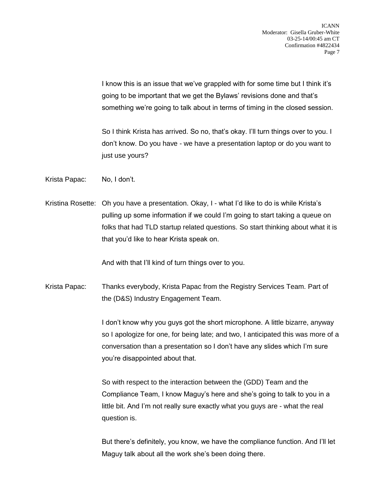I know this is an issue that we've grappled with for some time but I think it's going to be important that we get the Bylaws' revisions done and that's something we're going to talk about in terms of timing in the closed session.

So I think Krista has arrived. So no, that's okay. I'll turn things over to you. I don't know. Do you have - we have a presentation laptop or do you want to just use yours?

Krista Papac: No, I don't.

Kristina Rosette: Oh you have a presentation. Okay, I - what I'd like to do is while Krista's pulling up some information if we could I'm going to start taking a queue on folks that had TLD startup related questions. So start thinking about what it is that you'd like to hear Krista speak on.

And with that I'll kind of turn things over to you.

Krista Papac: Thanks everybody, Krista Papac from the Registry Services Team. Part of the (D&S) Industry Engagement Team.

> I don't know why you guys got the short microphone. A little bizarre, anyway so I apologize for one, for being late; and two, I anticipated this was more of a conversation than a presentation so I don't have any slides which I'm sure you're disappointed about that.

So with respect to the interaction between the (GDD) Team and the Compliance Team, I know Maguy's here and she's going to talk to you in a little bit. And I'm not really sure exactly what you guys are - what the real question is.

But there's definitely, you know, we have the compliance function. And I'll let Maguy talk about all the work she's been doing there.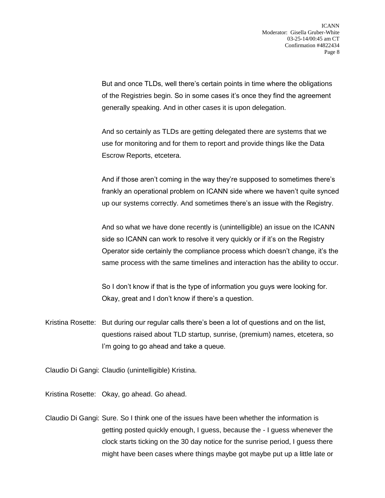But and once TLDs, well there's certain points in time where the obligations of the Registries begin. So in some cases it's once they find the agreement generally speaking. And in other cases it is upon delegation.

And so certainly as TLDs are getting delegated there are systems that we use for monitoring and for them to report and provide things like the Data Escrow Reports, etcetera.

And if those aren't coming in the way they're supposed to sometimes there's frankly an operational problem on ICANN side where we haven't quite synced up our systems correctly. And sometimes there's an issue with the Registry.

And so what we have done recently is (unintelligible) an issue on the ICANN side so ICANN can work to resolve it very quickly or if it's on the Registry Operator side certainly the compliance process which doesn't change, it's the same process with the same timelines and interaction has the ability to occur.

So I don't know if that is the type of information you guys were looking for. Okay, great and I don't know if there's a question.

Kristina Rosette: But during our regular calls there's been a lot of questions and on the list, questions raised about TLD startup, sunrise, (premium) names, etcetera, so I'm going to go ahead and take a queue.

Claudio Di Gangi: Claudio (unintelligible) Kristina.

Kristina Rosette: Okay, go ahead. Go ahead.

Claudio Di Gangi: Sure. So I think one of the issues have been whether the information is getting posted quickly enough, I guess, because the - I guess whenever the clock starts ticking on the 30 day notice for the sunrise period, I guess there might have been cases where things maybe got maybe put up a little late or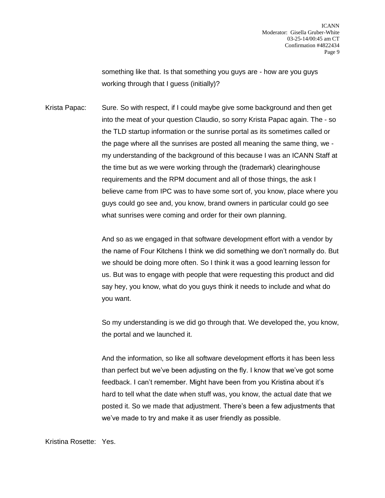something like that. Is that something you guys are - how are you guys working through that I guess (initially)?

Krista Papac: Sure. So with respect, if I could maybe give some background and then get into the meat of your question Claudio, so sorry Krista Papac again. The - so the TLD startup information or the sunrise portal as its sometimes called or the page where all the sunrises are posted all meaning the same thing, we my understanding of the background of this because I was an ICANN Staff at the time but as we were working through the (trademark) clearinghouse requirements and the RPM document and all of those things, the ask I believe came from IPC was to have some sort of, you know, place where you guys could go see and, you know, brand owners in particular could go see what sunrises were coming and order for their own planning.

> And so as we engaged in that software development effort with a vendor by the name of Four Kitchens I think we did something we don't normally do. But we should be doing more often. So I think it was a good learning lesson for us. But was to engage with people that were requesting this product and did say hey, you know, what do you guys think it needs to include and what do you want.

> So my understanding is we did go through that. We developed the, you know, the portal and we launched it.

And the information, so like all software development efforts it has been less than perfect but we've been adjusting on the fly. I know that we've got some feedback. I can't remember. Might have been from you Kristina about it's hard to tell what the date when stuff was, you know, the actual date that we posted it. So we made that adjustment. There's been a few adjustments that we've made to try and make it as user friendly as possible.

Kristina Rosette: Yes.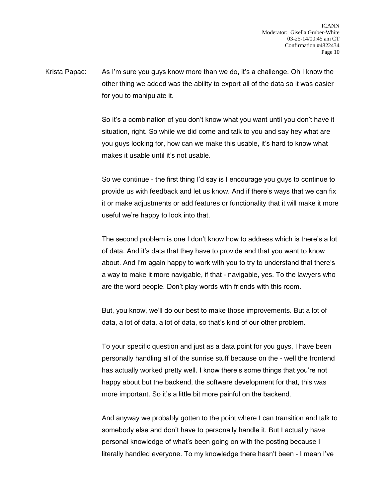Krista Papac: As I'm sure you guys know more than we do, it's a challenge. Oh I know the other thing we added was the ability to export all of the data so it was easier for you to manipulate it.

> So it's a combination of you don't know what you want until you don't have it situation, right. So while we did come and talk to you and say hey what are you guys looking for, how can we make this usable, it's hard to know what makes it usable until it's not usable.

So we continue - the first thing I'd say is I encourage you guys to continue to provide us with feedback and let us know. And if there's ways that we can fix it or make adjustments or add features or functionality that it will make it more useful we're happy to look into that.

The second problem is one I don't know how to address which is there's a lot of data. And it's data that they have to provide and that you want to know about. And I'm again happy to work with you to try to understand that there's a way to make it more navigable, if that - navigable, yes. To the lawyers who are the word people. Don't play words with friends with this room.

But, you know, we'll do our best to make those improvements. But a lot of data, a lot of data, a lot of data, so that's kind of our other problem.

To your specific question and just as a data point for you guys, I have been personally handling all of the sunrise stuff because on the - well the frontend has actually worked pretty well. I know there's some things that you're not happy about but the backend, the software development for that, this was more important. So it's a little bit more painful on the backend.

And anyway we probably gotten to the point where I can transition and talk to somebody else and don't have to personally handle it. But I actually have personal knowledge of what's been going on with the posting because I literally handled everyone. To my knowledge there hasn't been - I mean I've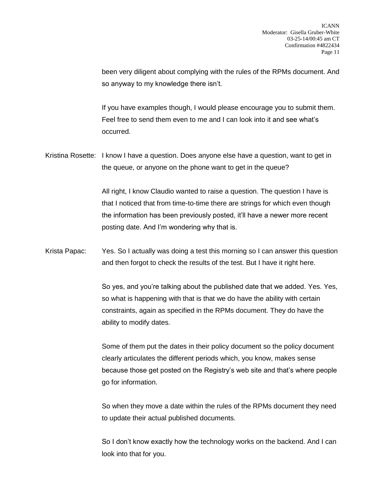been very diligent about complying with the rules of the RPMs document. And so anyway to my knowledge there isn't.

If you have examples though, I would please encourage you to submit them. Feel free to send them even to me and I can look into it and see what's occurred.

Kristina Rosette: I know I have a question. Does anyone else have a question, want to get in the queue, or anyone on the phone want to get in the queue?

> All right, I know Claudio wanted to raise a question. The question I have is that I noticed that from time-to-time there are strings for which even though the information has been previously posted, it'll have a newer more recent posting date. And I'm wondering why that is.

Krista Papac: Yes. So I actually was doing a test this morning so I can answer this question and then forgot to check the results of the test. But I have it right here.

> So yes, and you're talking about the published date that we added. Yes. Yes, so what is happening with that is that we do have the ability with certain constraints, again as specified in the RPMs document. They do have the ability to modify dates.

> Some of them put the dates in their policy document so the policy document clearly articulates the different periods which, you know, makes sense because those get posted on the Registry's web site and that's where people go for information.

> So when they move a date within the rules of the RPMs document they need to update their actual published documents.

> So I don't know exactly how the technology works on the backend. And I can look into that for you.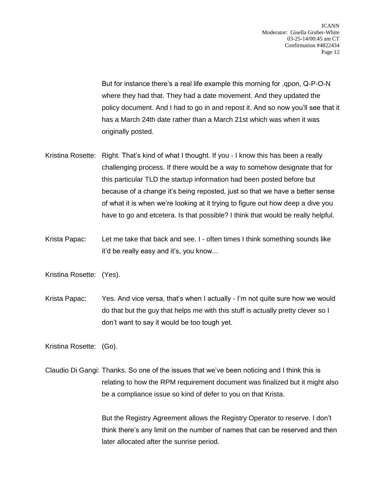But for instance there's a real life example this morning for .qpon, Q-P-O-N where they had that. They had a date movement. And they updated the policy document. And I had to go in and repost it. And so now you'll see that it has a March 24th date rather than a March 21st which was when it was originally posted.

- Kristina Rosette: Right. That's kind of what I thought. If you I know this has been a really challenging process. If there would be a way to somehow designate that for this particular TLD the startup information had been posted before but because of a change it's being reposted, just so that we have a better sense of what it is when we're looking at it trying to figure out how deep a dive you have to go and etcetera. Is that possible? I think that would be really helpful.
- Krista Papac: Let me take that back and see. I often times I think something sounds like it'd be really easy and it's, you know...

Kristina Rosette: (Yes).

Krista Papac: Yes. And vice versa, that's when I actually - I'm not quite sure how we would do that but the guy that helps me with this stuff is actually pretty clever so I don't want to say it would be too tough yet.

Kristina Rosette: (Go).

Claudio Di Gangi: Thanks. So one of the issues that we've been noticing and I think this is relating to how the RPM requirement document was finalized but it might also be a compliance issue so kind of defer to you on that Krista.

> But the Registry Agreement allows the Registry Operator to reserve. I don't think there's any limit on the number of names that can be reserved and then later allocated after the sunrise period.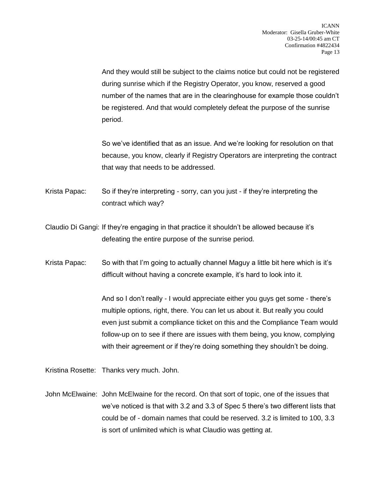And they would still be subject to the claims notice but could not be registered during sunrise which if the Registry Operator, you know, reserved a good number of the names that are in the clearinghouse for example those couldn't be registered. And that would completely defeat the purpose of the sunrise period.

So we've identified that as an issue. And we're looking for resolution on that because, you know, clearly if Registry Operators are interpreting the contract that way that needs to be addressed.

Krista Papac: So if they're interpreting - sorry, can you just - if they're interpreting the contract which way?

Claudio Di Gangi: If they're engaging in that practice it shouldn't be allowed because it's defeating the entire purpose of the sunrise period.

Krista Papac: So with that I'm going to actually channel Maguy a little bit here which is it's difficult without having a concrete example, it's hard to look into it.

> And so I don't really - I would appreciate either you guys get some - there's multiple options, right, there. You can let us about it. But really you could even just submit a compliance ticket on this and the Compliance Team would follow-up on to see if there are issues with them being, you know, complying with their agreement or if they're doing something they shouldn't be doing.

Kristina Rosette: Thanks very much. John.

John McElwaine: John McElwaine for the record. On that sort of topic, one of the issues that we've noticed is that with 3.2 and 3.3 of Spec 5 there's two different lists that could be of - domain names that could be reserved. 3.2 is limited to 100, 3.3 is sort of unlimited which is what Claudio was getting at.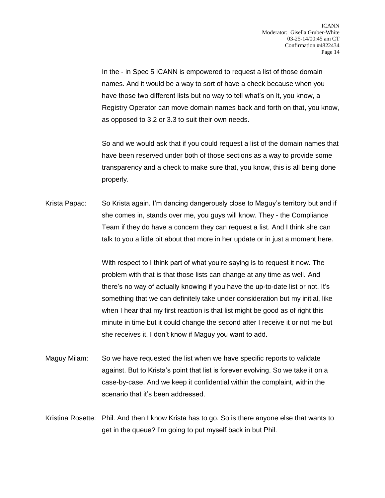In the - in Spec 5 ICANN is empowered to request a list of those domain names. And it would be a way to sort of have a check because when you have those two different lists but no way to tell what's on it, you know, a Registry Operator can move domain names back and forth on that, you know, as opposed to 3.2 or 3.3 to suit their own needs.

So and we would ask that if you could request a list of the domain names that have been reserved under both of those sections as a way to provide some transparency and a check to make sure that, you know, this is all being done properly.

Krista Papac: So Krista again. I'm dancing dangerously close to Maguy's territory but and if she comes in, stands over me, you guys will know. They - the Compliance Team if they do have a concern they can request a list. And I think she can talk to you a little bit about that more in her update or in just a moment here.

> With respect to I think part of what you're saying is to request it now. The problem with that is that those lists can change at any time as well. And there's no way of actually knowing if you have the up-to-date list or not. It's something that we can definitely take under consideration but my initial, like when I hear that my first reaction is that list might be good as of right this minute in time but it could change the second after I receive it or not me but she receives it. I don't know if Maguy you want to add.

- Maguy Milam: So we have requested the list when we have specific reports to validate against. But to Krista's point that list is forever evolving. So we take it on a case-by-case. And we keep it confidential within the complaint, within the scenario that it's been addressed.
- Kristina Rosette: Phil. And then I know Krista has to go. So is there anyone else that wants to get in the queue? I'm going to put myself back in but Phil.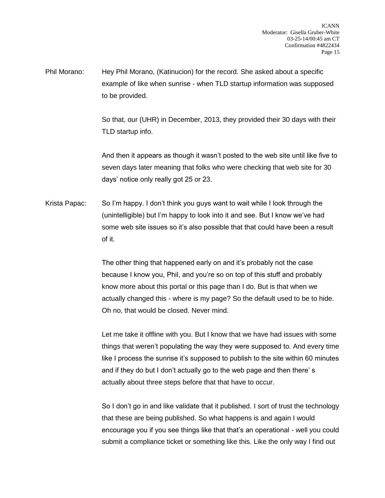Phil Morano: Hey Phil Morano, (Katinucion) for the record. She asked about a specific example of like when sunrise - when TLD startup information was supposed to be provided.

> So that, our (UHR) in December, 2013, they provided their 30 days with their TLD startup info.

> And then it appears as though it wasn't posted to the web site until like five to seven days later meaning that folks who were checking that web site for 30 days' notice only really got 25 or 23.

Krista Papac: So I'm happy. I don't think you guys want to wait while I look through the (unintelligible) but I'm happy to look into it and see. But I know we've had some web site issues so it's also possible that that could have been a result of it.

> The other thing that happened early on and it's probably not the case because I know you, Phil, and you're so on top of this stuff and probably know more about this portal or this page than I do. But is that when we actually changed this - where is my page? So the default used to be to hide. Oh no, that would be closed. Never mind.

Let me take it offline with you. But I know that we have had issues with some things that weren't populating the way they were supposed to. And every time like I process the sunrise it's supposed to publish to the site within 60 minutes and if they do but I don't actually go to the web page and then there' s actually about three steps before that that have to occur.

So I don't go in and like validate that it published. I sort of trust the technology that these are being published. So what happens is and again I would encourage you if you see things like that that's an operational - well you could submit a compliance ticket or something like this. Like the only way I find out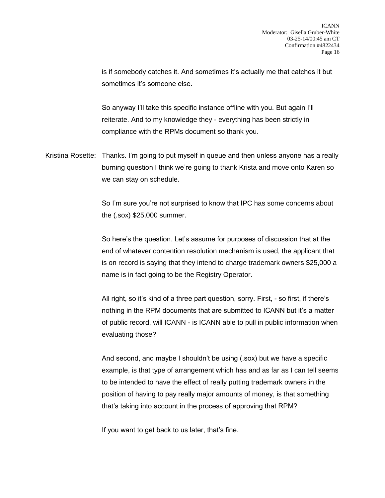is if somebody catches it. And sometimes it's actually me that catches it but sometimes it's someone else.

So anyway I'll take this specific instance offline with you. But again I'll reiterate. And to my knowledge they - everything has been strictly in compliance with the RPMs document so thank you.

Kristina Rosette: Thanks. I'm going to put myself in queue and then unless anyone has a really burning question I think we're going to thank Krista and move onto Karen so we can stay on schedule.

> So I'm sure you're not surprised to know that IPC has some concerns about the (.sox) \$25,000 summer.

So here's the question. Let's assume for purposes of discussion that at the end of whatever contention resolution mechanism is used, the applicant that is on record is saying that they intend to charge trademark owners \$25,000 a name is in fact going to be the Registry Operator.

All right, so it's kind of a three part question, sorry. First, - so first, if there's nothing in the RPM documents that are submitted to ICANN but it's a matter of public record, will ICANN - is ICANN able to pull in public information when evaluating those?

And second, and maybe I shouldn't be using (.sox) but we have a specific example, is that type of arrangement which has and as far as I can tell seems to be intended to have the effect of really putting trademark owners in the position of having to pay really major amounts of money, is that something that's taking into account in the process of approving that RPM?

If you want to get back to us later, that's fine.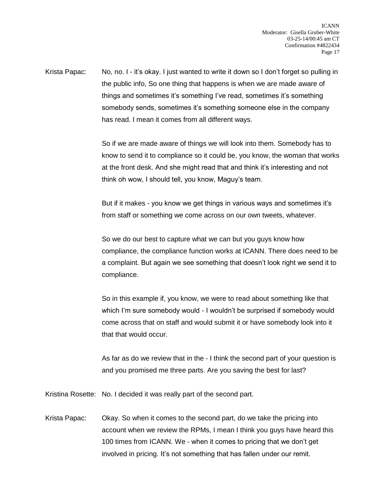Krista Papac: No, no. I - it's okay. I just wanted to write it down so I don't forget so pulling in the public info, So one thing that happens is when we are made aware of things and sometimes it's something I've read, sometimes it's something somebody sends, sometimes it's something someone else in the company has read. I mean it comes from all different ways.

> So if we are made aware of things we will look into them. Somebody has to know to send it to compliance so it could be, you know, the woman that works at the front desk. And she might read that and think it's interesting and not think oh wow, I should tell, you know, Maguy's team.

But if it makes - you know we get things in various ways and sometimes it's from staff or something we come across on our own tweets, whatever.

So we do our best to capture what we can but you guys know how compliance, the compliance function works at ICANN. There does need to be a complaint. But again we see something that doesn't look right we send it to compliance.

So in this example if, you know, we were to read about something like that which I'm sure somebody would - I wouldn't be surprised if somebody would come across that on staff and would submit it or have somebody look into it that that would occur.

As far as do we review that in the - I think the second part of your question is and you promised me three parts. Are you saving the best for last?

Kristina Rosette: No. I decided it was really part of the second part.

Krista Papac: Okay. So when it comes to the second part, do we take the pricing into account when we review the RPMs, I mean I think you guys have heard this 100 times from ICANN. We - when it comes to pricing that we don't get involved in pricing. It's not something that has fallen under our remit.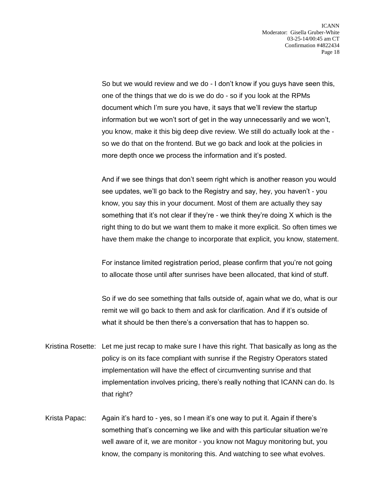So but we would review and we do - I don't know if you guys have seen this, one of the things that we do is we do do - so if you look at the RPMs document which I'm sure you have, it says that we'll review the startup information but we won't sort of get in the way unnecessarily and we won't, you know, make it this big deep dive review. We still do actually look at the so we do that on the frontend. But we go back and look at the policies in more depth once we process the information and it's posted.

And if we see things that don't seem right which is another reason you would see updates, we'll go back to the Registry and say, hey, you haven't - you know, you say this in your document. Most of them are actually they say something that it's not clear if they're - we think they're doing X which is the right thing to do but we want them to make it more explicit. So often times we have them make the change to incorporate that explicit, you know, statement.

For instance limited registration period, please confirm that you're not going to allocate those until after sunrises have been allocated, that kind of stuff.

So if we do see something that falls outside of, again what we do, what is our remit we will go back to them and ask for clarification. And if it's outside of what it should be then there's a conversation that has to happen so.

- Kristina Rosette: Let me just recap to make sure I have this right. That basically as long as the policy is on its face compliant with sunrise if the Registry Operators stated implementation will have the effect of circumventing sunrise and that implementation involves pricing, there's really nothing that ICANN can do. Is that right?
- Krista Papac: Again it's hard to yes, so I mean it's one way to put it. Again if there's something that's concerning we like and with this particular situation we're well aware of it, we are monitor - you know not Maguy monitoring but, you know, the company is monitoring this. And watching to see what evolves.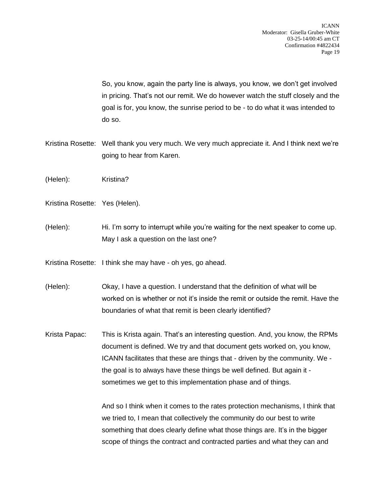So, you know, again the party line is always, you know, we don't get involved in pricing. That's not our remit. We do however watch the stuff closely and the goal is for, you know, the sunrise period to be - to do what it was intended to do so.

- Kristina Rosette: Well thank you very much. We very much appreciate it. And I think next we're going to hear from Karen.
- (Helen): Kristina?
- Kristina Rosette: Yes (Helen).
- (Helen): Hi. I'm sorry to interrupt while you're waiting for the next speaker to come up. May I ask a question on the last one?
- Kristina Rosette: I think she may have oh yes, go ahead.
- (Helen): Okay, I have a question. I understand that the definition of what will be worked on is whether or not it's inside the remit or outside the remit. Have the boundaries of what that remit is been clearly identified?
- Krista Papac: This is Krista again. That's an interesting question. And, you know, the RPMs document is defined. We try and that document gets worked on, you know, ICANN facilitates that these are things that - driven by the community. We the goal is to always have these things be well defined. But again it sometimes we get to this implementation phase and of things.

And so I think when it comes to the rates protection mechanisms, I think that we tried to, I mean that collectively the community do our best to write something that does clearly define what those things are. It's in the bigger scope of things the contract and contracted parties and what they can and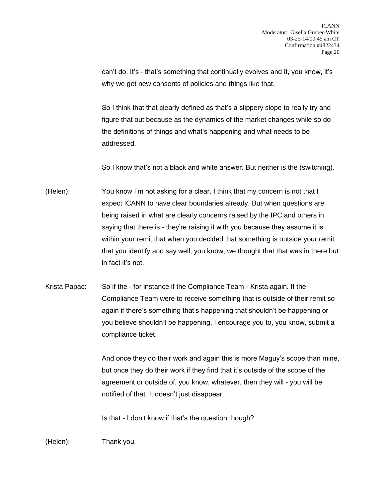can't do. It's - that's something that continually evolves and it, you know, it's why we get new consents of policies and things like that.

So I think that that clearly defined as that's a slippery slope to really try and figure that out because as the dynamics of the market changes while so do the definitions of things and what's happening and what needs to be addressed.

So I know that's not a black and white answer. But neither is the (switching).

- (Helen): You know I'm not asking for a clear. I think that my concern is not that I expect ICANN to have clear boundaries already. But when questions are being raised in what are clearly concerns raised by the IPC and others in saying that there is - they're raising it with you because they assume it is within your remit that when you decided that something is outside your remit that you identify and say well, you know, we thought that that was in there but in fact it's not.
- Krista Papac: So if the for instance if the Compliance Team Krista again. If the Compliance Team were to receive something that is outside of their remit so again if there's something that's happening that shouldn't be happening or you believe shouldn't be happening, I encourage you to, you know, submit a compliance ticket.

And once they do their work and again this is more Maguy's scope than mine, but once they do their work if they find that it's outside of the scope of the agreement or outside of, you know, whatever, then they will - you will be notified of that. It doesn't just disappear.

Is that - I don't know if that's the question though?

(Helen): Thank you.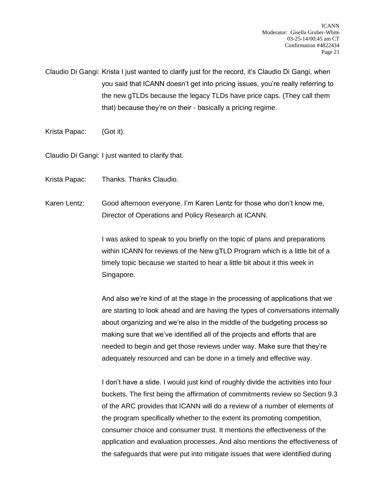Claudio Di Gangi: Krista I just wanted to clarify just for the record, it's Claudio Di Gangi, when you said that ICANN doesn't get into pricing issues, you're really referring to the new gTLDs because the legacy TLDs have price caps. (They call them that) because they're on their - basically a pricing regime.

Krista Papac: (Got it).

Claudio Di Gangi: I just wanted to clarify that.

Krista Papac: Thanks. Thanks Claudio.

Karen Lentz: Good afternoon everyone. I'm Karen Lentz for those who don't know me, Director of Operations and Policy Research at ICANN.

> I was asked to speak to you briefly on the topic of plans and preparations within ICANN for reviews of the New gTLD Program which is a little bit of a timely topic because we started to hear a little bit about it this week in Singapore.

And also we're kind of at the stage in the processing of applications that we are starting to look ahead and are having the types of conversations internally about organizing and we're also in the middle of the budgeting process so making sure that we've identified all of the projects and efforts that are needed to begin and get those reviews under way. Make sure that they're adequately resourced and can be done in a timely and effective way.

I don't have a slide. I would just kind of roughly divide the activities into four buckets. The first being the affirmation of commitments review so Section 9.3 of the ARC provides that ICANN will do a review of a number of elements of the program specifically whether to the extent its promoting competition, consumer choice and consumer trust. It mentions the effectiveness of the application and evaluation processes. And also mentions the effectiveness of the safeguards that were put into mitigate issues that were identified during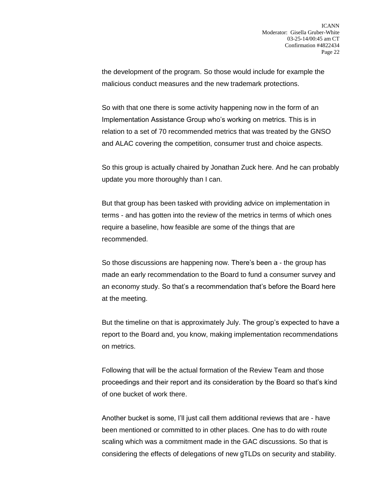the development of the program. So those would include for example the malicious conduct measures and the new trademark protections.

So with that one there is some activity happening now in the form of an Implementation Assistance Group who's working on metrics. This is in relation to a set of 70 recommended metrics that was treated by the GNSO and ALAC covering the competition, consumer trust and choice aspects.

So this group is actually chaired by Jonathan Zuck here. And he can probably update you more thoroughly than I can.

But that group has been tasked with providing advice on implementation in terms - and has gotten into the review of the metrics in terms of which ones require a baseline, how feasible are some of the things that are recommended.

So those discussions are happening now. There's been a - the group has made an early recommendation to the Board to fund a consumer survey and an economy study. So that's a recommendation that's before the Board here at the meeting.

But the timeline on that is approximately July. The group's expected to have a report to the Board and, you know, making implementation recommendations on metrics.

Following that will be the actual formation of the Review Team and those proceedings and their report and its consideration by the Board so that's kind of one bucket of work there.

Another bucket is some, I'll just call them additional reviews that are - have been mentioned or committed to in other places. One has to do with route scaling which was a commitment made in the GAC discussions. So that is considering the effects of delegations of new gTLDs on security and stability.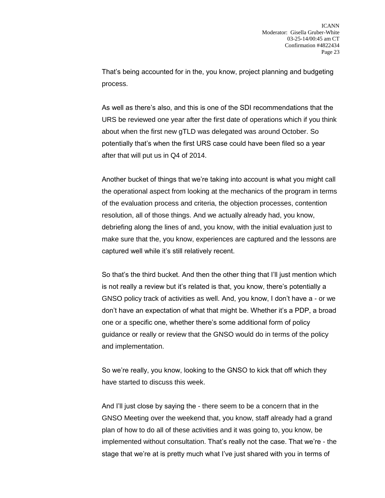That's being accounted for in the, you know, project planning and budgeting process.

As well as there's also, and this is one of the SDI recommendations that the URS be reviewed one year after the first date of operations which if you think about when the first new gTLD was delegated was around October. So potentially that's when the first URS case could have been filed so a year after that will put us in Q4 of 2014.

Another bucket of things that we're taking into account is what you might call the operational aspect from looking at the mechanics of the program in terms of the evaluation process and criteria, the objection processes, contention resolution, all of those things. And we actually already had, you know, debriefing along the lines of and, you know, with the initial evaluation just to make sure that the, you know, experiences are captured and the lessons are captured well while it's still relatively recent.

So that's the third bucket. And then the other thing that I'll just mention which is not really a review but it's related is that, you know, there's potentially a GNSO policy track of activities as well. And, you know, I don't have a - or we don't have an expectation of what that might be. Whether it's a PDP, a broad one or a specific one, whether there's some additional form of policy guidance or really or review that the GNSO would do in terms of the policy and implementation.

So we're really, you know, looking to the GNSO to kick that off which they have started to discuss this week.

And I'll just close by saying the - there seem to be a concern that in the GNSO Meeting over the weekend that, you know, staff already had a grand plan of how to do all of these activities and it was going to, you know, be implemented without consultation. That's really not the case. That we're - the stage that we're at is pretty much what I've just shared with you in terms of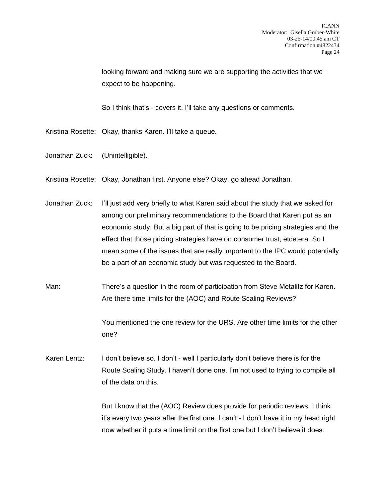looking forward and making sure we are supporting the activities that we expect to be happening.

So I think that's - covers it. I'll take any questions or comments.

- Kristina Rosette: Okay, thanks Karen. I'll take a queue.
- Jonathan Zuck: (Unintelligible).
- Kristina Rosette: Okay, Jonathan first. Anyone else? Okay, go ahead Jonathan.
- Jonathan Zuck: I'll just add very briefly to what Karen said about the study that we asked for among our preliminary recommendations to the Board that Karen put as an economic study. But a big part of that is going to be pricing strategies and the effect that those pricing strategies have on consumer trust, etcetera. So I mean some of the issues that are really important to the IPC would potentially be a part of an economic study but was requested to the Board.
- Man: There's a question in the room of participation from Steve Metalitz for Karen. Are there time limits for the (AOC) and Route Scaling Reviews?

You mentioned the one review for the URS. Are other time limits for the other one?

Karen Lentz: I don't believe so. I don't - well I particularly don't believe there is for the Route Scaling Study. I haven't done one. I'm not used to trying to compile all of the data on this.

> But I know that the (AOC) Review does provide for periodic reviews. I think it's every two years after the first one. I can't - I don't have it in my head right now whether it puts a time limit on the first one but I don't believe it does.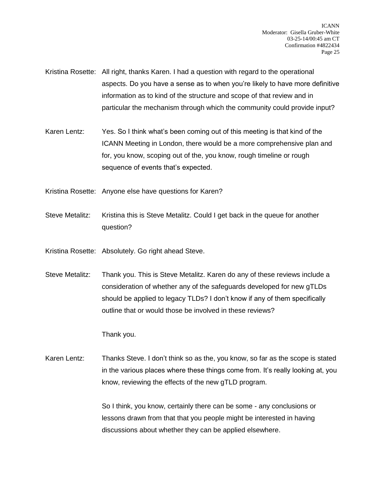Kristina Rosette: All right, thanks Karen. I had a question with regard to the operational aspects. Do you have a sense as to when you're likely to have more definitive information as to kind of the structure and scope of that review and in particular the mechanism through which the community could provide input?

- Karen Lentz: Yes. So I think what's been coming out of this meeting is that kind of the ICANN Meeting in London, there would be a more comprehensive plan and for, you know, scoping out of the, you know, rough timeline or rough sequence of events that's expected.
- Kristina Rosette: Anyone else have questions for Karen?
- Steve Metalitz: Kristina this is Steve Metalitz. Could I get back in the queue for another question?
- Kristina Rosette: Absolutely. Go right ahead Steve.
- Steve Metalitz: Thank you. This is Steve Metalitz. Karen do any of these reviews include a consideration of whether any of the safeguards developed for new gTLDs should be applied to legacy TLDs? I don't know if any of them specifically outline that or would those be involved in these reviews?

Thank you.

Karen Lentz: Thanks Steve. I don't think so as the, you know, so far as the scope is stated in the various places where these things come from. It's really looking at, you know, reviewing the effects of the new gTLD program.

> So I think, you know, certainly there can be some - any conclusions or lessons drawn from that that you people might be interested in having discussions about whether they can be applied elsewhere.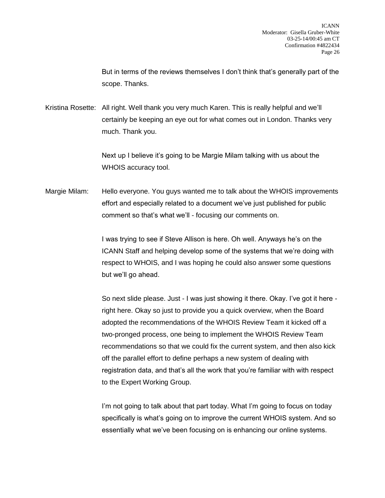But in terms of the reviews themselves I don't think that's generally part of the scope. Thanks.

Kristina Rosette: All right. Well thank you very much Karen. This is really helpful and we'll certainly be keeping an eye out for what comes out in London. Thanks very much. Thank you.

> Next up I believe it's going to be Margie Milam talking with us about the WHOIS accuracy tool.

Margie Milam: Hello everyone. You guys wanted me to talk about the WHOIS improvements effort and especially related to a document we've just published for public comment so that's what we'll - focusing our comments on.

> I was trying to see if Steve Allison is here. Oh well. Anyways he's on the ICANN Staff and helping develop some of the systems that we're doing with respect to WHOIS, and I was hoping he could also answer some questions but we'll go ahead.

So next slide please. Just - I was just showing it there. Okay. I've got it here right here. Okay so just to provide you a quick overview, when the Board adopted the recommendations of the WHOIS Review Team it kicked off a two-pronged process, one being to implement the WHOIS Review Team recommendations so that we could fix the current system, and then also kick off the parallel effort to define perhaps a new system of dealing with registration data, and that's all the work that you're familiar with with respect to the Expert Working Group.

I'm not going to talk about that part today. What I'm going to focus on today specifically is what's going on to improve the current WHOIS system. And so essentially what we've been focusing on is enhancing our online systems.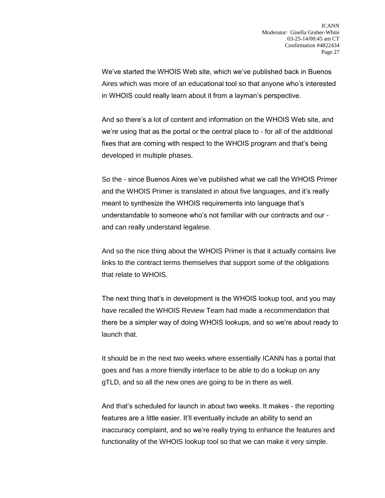We've started the WHOIS Web site, which we've published back in Buenos Aires which was more of an educational tool so that anyone who's interested in WHOIS could really learn about it from a layman's perspective.

And so there's a lot of content and information on the WHOIS Web site, and we're using that as the portal or the central place to - for all of the additional fixes that are coming with respect to the WHOIS program and that's being developed in multiple phases.

So the - since Buenos Aires we've published what we call the WHOIS Primer and the WHOIS Primer is translated in about five languages, and it's really meant to synthesize the WHOIS requirements into language that's understandable to someone who's not familiar with our contracts and our and can really understand legalese.

And so the nice thing about the WHOIS Primer is that it actually contains live links to the contract terms themselves that support some of the obligations that relate to WHOIS.

The next thing that's in development is the WHOIS lookup tool, and you may have recalled the WHOIS Review Team had made a recommendation that there be a simpler way of doing WHOIS lookups, and so we're about ready to launch that.

It should be in the next two weeks where essentially ICANN has a portal that goes and has a more friendly interface to be able to do a lookup on any gTLD, and so all the new ones are going to be in there as well.

And that's scheduled for launch in about two weeks. It makes - the reporting features are a little easier. It'll eventually include an ability to send an inaccuracy complaint, and so we're really trying to enhance the features and functionality of the WHOIS lookup tool so that we can make it very simple.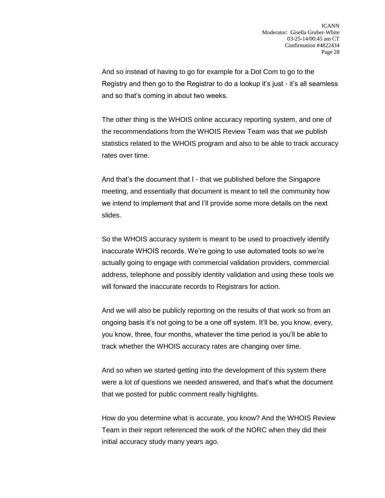And so instead of having to go for example for a Dot Com to go to the Registry and then go to the Registrar to do a lookup it's just - it's all seamless and so that's coming in about two weeks.

The other thing is the WHOIS online accuracy reporting system, and one of the recommendations from the WHOIS Review Team was that we publish statistics related to the WHOIS program and also to be able to track accuracy rates over time.

And that's the document that I - that we published before the Singapore meeting, and essentially that document is meant to tell the community how we intend to implement that and I'll provide some more details on the next slides.

So the WHOIS accuracy system is meant to be used to proactively identify inaccurate WHOIS records. We're going to use automated tools so we're actually going to engage with commercial validation providers, commercial address, telephone and possibly identity validation and using these tools we will forward the inaccurate records to Registrars for action.

And we will also be publicly reporting on the results of that work so from an ongoing basis it's not going to be a one off system. It'll be, you know, every, you know, three, four months, whatever the time period is you'll be able to track whether the WHOIS accuracy rates are changing over time.

And so when we started getting into the development of this system there were a lot of questions we needed answered, and that's what the document that we posted for public comment really highlights.

How do you determine what is accurate, you know? And the WHOIS Review Team in their report referenced the work of the NORC when they did their initial accuracy study many years ago.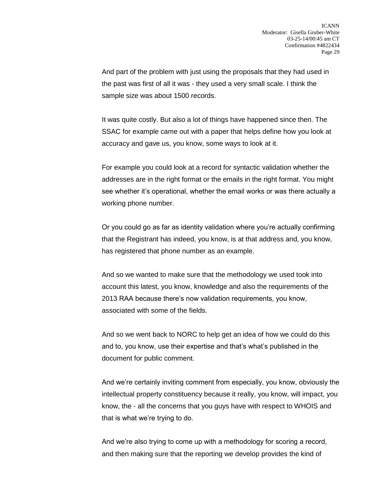And part of the problem with just using the proposals that they had used in the past was first of all it was - they used a very small scale. I think the sample size was about 1500 records.

It was quite costly. But also a lot of things have happened since then. The SSAC for example came out with a paper that helps define how you look at accuracy and gave us, you know, some ways to look at it.

For example you could look at a record for syntactic validation whether the addresses are in the right format or the emails in the right format. You might see whether it's operational, whether the email works or was there actually a working phone number.

Or you could go as far as identity validation where you're actually confirming that the Registrant has indeed, you know, is at that address and, you know, has registered that phone number as an example.

And so we wanted to make sure that the methodology we used took into account this latest, you know, knowledge and also the requirements of the 2013 RAA because there's now validation requirements, you know, associated with some of the fields.

And so we went back to NORC to help get an idea of how we could do this and to, you know, use their expertise and that's what's published in the document for public comment.

And we're certainly inviting comment from especially, you know, obviously the intellectual property constituency because it really, you know, will impact, you know, the - all the concerns that you guys have with respect to WHOIS and that is what we're trying to do.

And we're also trying to come up with a methodology for scoring a record, and then making sure that the reporting we develop provides the kind of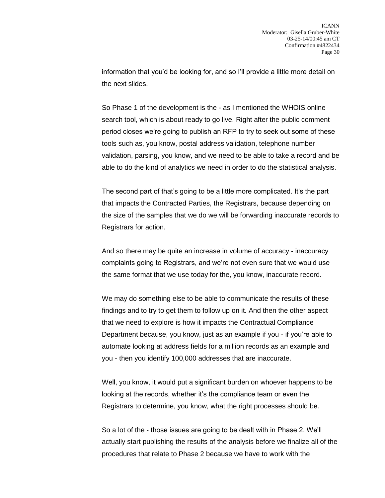information that you'd be looking for, and so I'll provide a little more detail on the next slides.

So Phase 1 of the development is the - as I mentioned the WHOIS online search tool, which is about ready to go live. Right after the public comment period closes we're going to publish an RFP to try to seek out some of these tools such as, you know, postal address validation, telephone number validation, parsing, you know, and we need to be able to take a record and be able to do the kind of analytics we need in order to do the statistical analysis.

The second part of that's going to be a little more complicated. It's the part that impacts the Contracted Parties, the Registrars, because depending on the size of the samples that we do we will be forwarding inaccurate records to Registrars for action.

And so there may be quite an increase in volume of accuracy - inaccuracy complaints going to Registrars, and we're not even sure that we would use the same format that we use today for the, you know, inaccurate record.

We may do something else to be able to communicate the results of these findings and to try to get them to follow up on it. And then the other aspect that we need to explore is how it impacts the Contractual Compliance Department because, you know, just as an example if you - if you're able to automate looking at address fields for a million records as an example and you - then you identify 100,000 addresses that are inaccurate.

Well, you know, it would put a significant burden on whoever happens to be looking at the records, whether it's the compliance team or even the Registrars to determine, you know, what the right processes should be.

So a lot of the - those issues are going to be dealt with in Phase 2. We'll actually start publishing the results of the analysis before we finalize all of the procedures that relate to Phase 2 because we have to work with the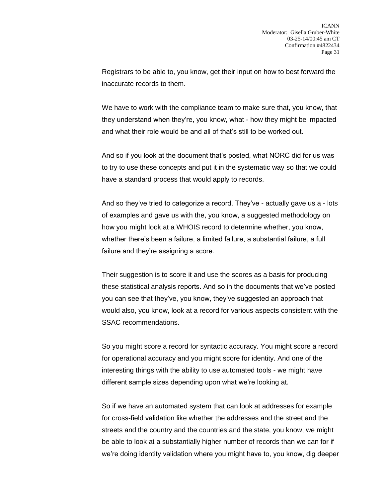Registrars to be able to, you know, get their input on how to best forward the inaccurate records to them.

We have to work with the compliance team to make sure that, you know, that they understand when they're, you know, what - how they might be impacted and what their role would be and all of that's still to be worked out.

And so if you look at the document that's posted, what NORC did for us was to try to use these concepts and put it in the systematic way so that we could have a standard process that would apply to records.

And so they've tried to categorize a record. They've - actually gave us a - lots of examples and gave us with the, you know, a suggested methodology on how you might look at a WHOIS record to determine whether, you know, whether there's been a failure, a limited failure, a substantial failure, a full failure and they're assigning a score.

Their suggestion is to score it and use the scores as a basis for producing these statistical analysis reports. And so in the documents that we've posted you can see that they've, you know, they've suggested an approach that would also, you know, look at a record for various aspects consistent with the SSAC recommendations.

So you might score a record for syntactic accuracy. You might score a record for operational accuracy and you might score for identity. And one of the interesting things with the ability to use automated tools - we might have different sample sizes depending upon what we're looking at.

So if we have an automated system that can look at addresses for example for cross-field validation like whether the addresses and the street and the streets and the country and the countries and the state, you know, we might be able to look at a substantially higher number of records than we can for if we're doing identity validation where you might have to, you know, dig deeper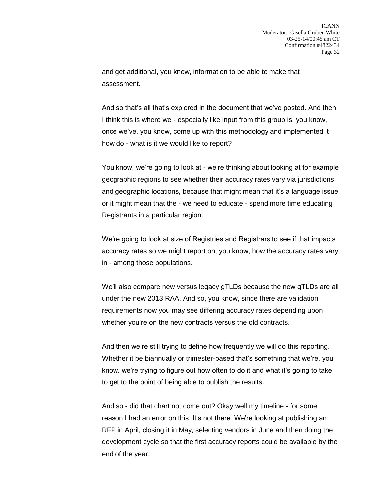and get additional, you know, information to be able to make that assessment.

And so that's all that's explored in the document that we've posted. And then I think this is where we - especially like input from this group is, you know, once we've, you know, come up with this methodology and implemented it how do - what is it we would like to report?

You know, we're going to look at - we're thinking about looking at for example geographic regions to see whether their accuracy rates vary via jurisdictions and geographic locations, because that might mean that it's a language issue or it might mean that the - we need to educate - spend more time educating Registrants in a particular region.

We're going to look at size of Registries and Registrars to see if that impacts accuracy rates so we might report on, you know, how the accuracy rates vary in - among those populations.

We'll also compare new versus legacy gTLDs because the new gTLDs are all under the new 2013 RAA. And so, you know, since there are validation requirements now you may see differing accuracy rates depending upon whether you're on the new contracts versus the old contracts.

And then we're still trying to define how frequently we will do this reporting. Whether it be biannually or trimester-based that's something that we're, you know, we're trying to figure out how often to do it and what it's going to take to get to the point of being able to publish the results.

And so - did that chart not come out? Okay well my timeline - for some reason I had an error on this. It's not there. We're looking at publishing an RFP in April, closing it in May, selecting vendors in June and then doing the development cycle so that the first accuracy reports could be available by the end of the year.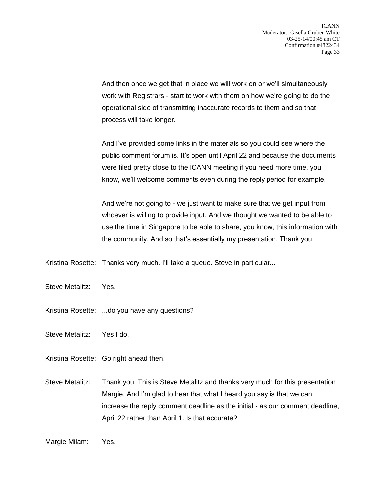And then once we get that in place we will work on or we'll simultaneously work with Registrars - start to work with them on how we're going to do the operational side of transmitting inaccurate records to them and so that process will take longer.

And I've provided some links in the materials so you could see where the public comment forum is. It's open until April 22 and because the documents were filed pretty close to the ICANN meeting if you need more time, you know, we'll welcome comments even during the reply period for example.

And we're not going to - we just want to make sure that we get input from whoever is willing to provide input. And we thought we wanted to be able to use the time in Singapore to be able to share, you know, this information with the community. And so that's essentially my presentation. Thank you.

Kristina Rosette: Thanks very much. I'll take a queue. Steve in particular...

Steve Metalitz: Yes.

Kristina Rosette: ...do you have any questions?

Steve Metalitz: Yes I do.

Kristina Rosette: Go right ahead then.

Steve Metalitz: Thank you. This is Steve Metalitz and thanks very much for this presentation Margie. And I'm glad to hear that what I heard you say is that we can increase the reply comment deadline as the initial - as our comment deadline, April 22 rather than April 1. Is that accurate?

Margie Milam: Yes.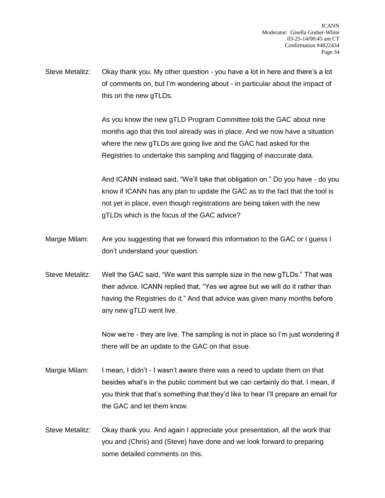Steve Metalitz: Okay thank you. My other question - you have a lot in here and there's a lot of comments on, but I'm wondering about - in particular about the impact of this on the new gTLDs.

> As you know the new gTLD Program Committee told the GAC about nine months ago that this tool already was in place. And we now have a situation where the new gTLDs are going live and the GAC had asked for the Registries to undertake this sampling and flagging of inaccurate data.

And ICANN instead said, "We'll take that obligation on." Do you have - do you know if ICANN has any plan to update the GAC as to the fact that the tool is not yet in place, even though registrations are being taken with the new gTLDs which is the focus of the GAC advice?

- Margie Milam: Are you suggesting that we forward this information to the GAC or I guess I don't understand your question.
- Steve Metalitz: Well the GAC said, "We want this sample size in the new gTLDs." That was their advice. ICANN replied that, "Yes we agree but we will do it rather than having the Registries do it." And that advice was given many months before any new gTLD went live.

Now we're - they are live. The sampling is not in place so I'm just wondering if there will be an update to the GAC on that issue.

- Margie Milam: I mean, I didn't I wasn't aware there was a need to update them on that besides what's in the public comment but we can certainly do that. I mean, if you think that that's something that they'd like to hear I'll prepare an email for the GAC and let them know.
- Steve Metalitz: Okay thank you. And again I appreciate your presentation, all the work that you and (Chris) and (Steve) have done and we look forward to preparing some detailed comments on this.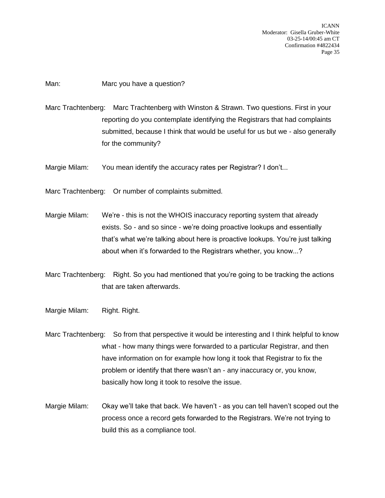ICANN Moderator: Gisella Gruber-White 03-25-14/00:45 am CT Confirmation #4822434 Page 35

Man: Marc you have a question?

Marc Trachtenberg: Marc Trachtenberg with Winston & Strawn. Two questions. First in your reporting do you contemplate identifying the Registrars that had complaints submitted, because I think that would be useful for us but we - also generally for the community?

Margie Milam: You mean identify the accuracy rates per Registrar? I don't...

Marc Trachtenberg: Or number of complaints submitted.

Margie Milam: We're - this is not the WHOIS inaccuracy reporting system that already exists. So - and so since - we're doing proactive lookups and essentially that's what we're talking about here is proactive lookups. You're just talking about when it's forwarded to the Registrars whether, you know...?

Marc Trachtenberg: Right. So you had mentioned that you're going to be tracking the actions that are taken afterwards.

- Margie Milam: Right. Right.
- Marc Trachtenberg: So from that perspective it would be interesting and I think helpful to know what - how many things were forwarded to a particular Registrar, and then have information on for example how long it took that Registrar to fix the problem or identify that there wasn't an - any inaccuracy or, you know, basically how long it took to resolve the issue.
- Margie Milam: Okay we'll take that back. We haven't as you can tell haven't scoped out the process once a record gets forwarded to the Registrars. We're not trying to build this as a compliance tool.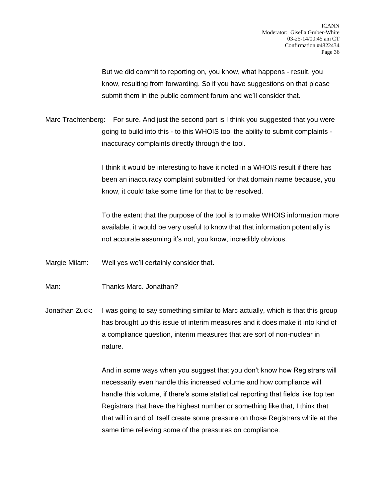But we did commit to reporting on, you know, what happens - result, you know, resulting from forwarding. So if you have suggestions on that please submit them in the public comment forum and we'll consider that.

Marc Trachtenberg: For sure. And just the second part is I think you suggested that you were going to build into this - to this WHOIS tool the ability to submit complaints inaccuracy complaints directly through the tool.

> I think it would be interesting to have it noted in a WHOIS result if there has been an inaccuracy complaint submitted for that domain name because, you know, it could take some time for that to be resolved.

To the extent that the purpose of the tool is to make WHOIS information more available, it would be very useful to know that that information potentially is not accurate assuming it's not, you know, incredibly obvious.

Margie Milam: Well yes we'll certainly consider that.

Man: Thanks Marc. Jonathan?

Jonathan Zuck: I was going to say something similar to Marc actually, which is that this group has brought up this issue of interim measures and it does make it into kind of a compliance question, interim measures that are sort of non-nuclear in nature.

> And in some ways when you suggest that you don't know how Registrars will necessarily even handle this increased volume and how compliance will handle this volume, if there's some statistical reporting that fields like top ten Registrars that have the highest number or something like that, I think that that will in and of itself create some pressure on those Registrars while at the same time relieving some of the pressures on compliance.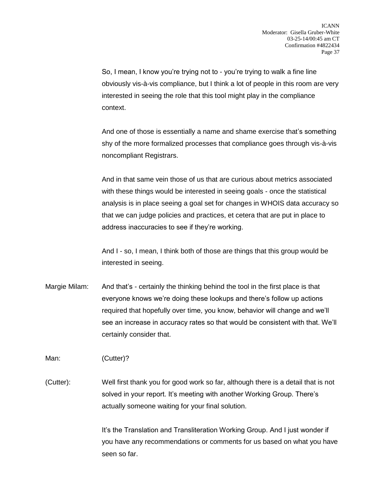So, I mean, I know you're trying not to - you're trying to walk a fine line obviously vis-à-vis compliance, but I think a lot of people in this room are very interested in seeing the role that this tool might play in the compliance context.

And one of those is essentially a name and shame exercise that's something shy of the more formalized processes that compliance goes through vis-à-vis noncompliant Registrars.

And in that same vein those of us that are curious about metrics associated with these things would be interested in seeing goals - once the statistical analysis is in place seeing a goal set for changes in WHOIS data accuracy so that we can judge policies and practices, et cetera that are put in place to address inaccuracies to see if they're working.

And I - so, I mean, I think both of those are things that this group would be interested in seeing.

Margie Milam: And that's - certainly the thinking behind the tool in the first place is that everyone knows we're doing these lookups and there's follow up actions required that hopefully over time, you know, behavior will change and we'll see an increase in accuracy rates so that would be consistent with that. We'll certainly consider that.

Man: (Cutter)?

(Cutter): Well first thank you for good work so far, although there is a detail that is not solved in your report. It's meeting with another Working Group. There's actually someone waiting for your final solution.

> It's the Translation and Transliteration Working Group. And I just wonder if you have any recommendations or comments for us based on what you have seen so far.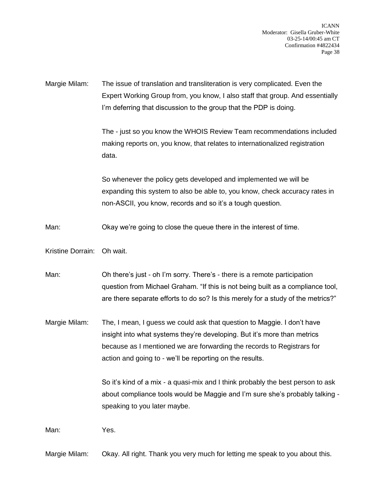ICANN Moderator: Gisella Gruber-White 03-25-14/00:45 am CT Confirmation #4822434 Page 38

Margie Milam: The issue of translation and transliteration is very complicated. Even the Expert Working Group from, you know, I also staff that group. And essentially I'm deferring that discussion to the group that the PDP is doing.

> The - just so you know the WHOIS Review Team recommendations included making reports on, you know, that relates to internationalized registration data.

> So whenever the policy gets developed and implemented we will be expanding this system to also be able to, you know, check accuracy rates in non-ASCII, you know, records and so it's a tough question.

Man: Okay we're going to close the queue there in the interest of time.

Kristine Dorrain: Oh wait.

Man: Oh there's just - oh I'm sorry. There's - there is a remote participation question from Michael Graham. "If this is not being built as a compliance tool, are there separate efforts to do so? Is this merely for a study of the metrics?"

Margie Milam: The, I mean, I guess we could ask that question to Maggie. I don't have insight into what systems they're developing. But it's more than metrics because as I mentioned we are forwarding the records to Registrars for action and going to - we'll be reporting on the results.

> So it's kind of a mix - a quasi-mix and I think probably the best person to ask about compliance tools would be Maggie and I'm sure she's probably talking speaking to you later maybe.

Man: Yes.

Margie Milam: Okay. All right. Thank you very much for letting me speak to you about this.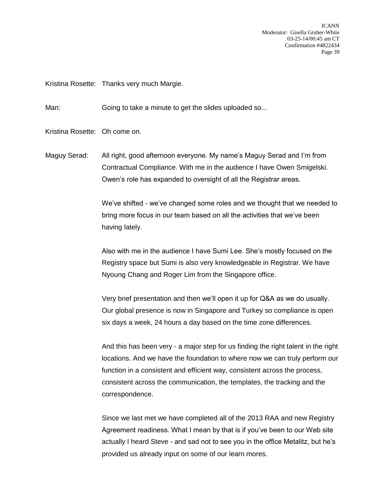ICANN Moderator: Gisella Gruber-White 03-25-14/00:45 am CT Confirmation #4822434 Page 39

Kristina Rosette: Thanks very much Margie.

Man: Going to take a minute to get the slides uploaded so...

Kristina Rosette: Oh come on.

Maguy Serad: All right, good afternoon everyone. My name's Maguy Serad and I'm from Contractual Compliance. With me in the audience I have Owen Smigelski. Owen's role has expanded to oversight of all the Registrar areas.

> We've shifted - we've changed some roles and we thought that we needed to bring more focus in our team based on all the activities that we've been having lately.

Also with me in the audience I have Sumi Lee. She's mostly focused on the Registry space but Sumi is also very knowledgeable in Registrar. We have Nyoung Chang and Roger Lim from the Singapore office.

Very brief presentation and then we'll open it up for Q&A as we do usually. Our global presence is now in Singapore and Turkey so compliance is open six days a week, 24 hours a day based on the time zone differences.

And this has been very - a major step for us finding the right talent in the right locations. And we have the foundation to where now we can truly perform our function in a consistent and efficient way, consistent across the process, consistent across the communication, the templates, the tracking and the correspondence.

Since we last met we have completed all of the 2013 RAA and new Registry Agreement readiness. What I mean by that is if you've been to our Web site actually I heard Steve - and sad not to see you in the office Metalitz, but he's provided us already input on some of our learn mores.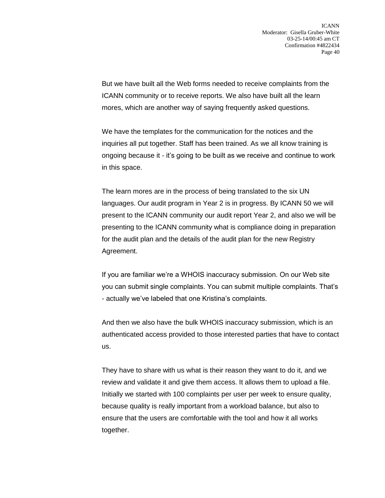But we have built all the Web forms needed to receive complaints from the ICANN community or to receive reports. We also have built all the learn mores, which are another way of saying frequently asked questions.

We have the templates for the communication for the notices and the inquiries all put together. Staff has been trained. As we all know training is ongoing because it - it's going to be built as we receive and continue to work in this space.

The learn mores are in the process of being translated to the six UN languages. Our audit program in Year 2 is in progress. By ICANN 50 we will present to the ICANN community our audit report Year 2, and also we will be presenting to the ICANN community what is compliance doing in preparation for the audit plan and the details of the audit plan for the new Registry Agreement.

If you are familiar we're a WHOIS inaccuracy submission. On our Web site you can submit single complaints. You can submit multiple complaints. That's - actually we've labeled that one Kristina's complaints.

And then we also have the bulk WHOIS inaccuracy submission, which is an authenticated access provided to those interested parties that have to contact us.

They have to share with us what is their reason they want to do it, and we review and validate it and give them access. It allows them to upload a file. Initially we started with 100 complaints per user per week to ensure quality, because quality is really important from a workload balance, but also to ensure that the users are comfortable with the tool and how it all works together.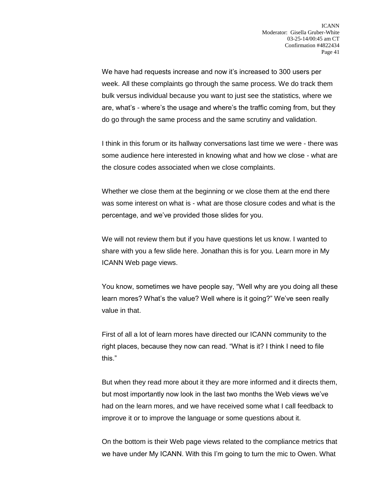We have had requests increase and now it's increased to 300 users per week. All these complaints go through the same process. We do track them bulk versus individual because you want to just see the statistics, where we are, what's - where's the usage and where's the traffic coming from, but they do go through the same process and the same scrutiny and validation.

I think in this forum or its hallway conversations last time we were - there was some audience here interested in knowing what and how we close - what are the closure codes associated when we close complaints.

Whether we close them at the beginning or we close them at the end there was some interest on what is - what are those closure codes and what is the percentage, and we've provided those slides for you.

We will not review them but if you have questions let us know. I wanted to share with you a few slide here. Jonathan this is for you. Learn more in My ICANN Web page views.

You know, sometimes we have people say, "Well why are you doing all these learn mores? What's the value? Well where is it going?" We've seen really value in that.

First of all a lot of learn mores have directed our ICANN community to the right places, because they now can read. "What is it? I think I need to file this."

But when they read more about it they are more informed and it directs them, but most importantly now look in the last two months the Web views we've had on the learn mores, and we have received some what I call feedback to improve it or to improve the language or some questions about it.

On the bottom is their Web page views related to the compliance metrics that we have under My ICANN. With this I'm going to turn the mic to Owen. What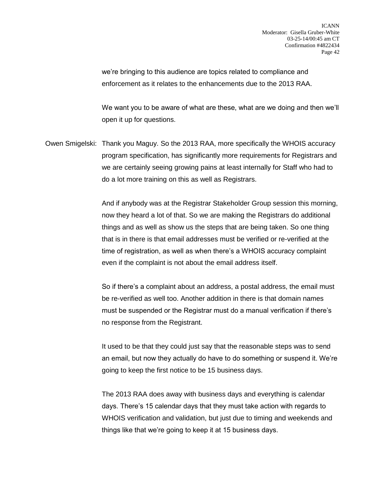we're bringing to this audience are topics related to compliance and enforcement as it relates to the enhancements due to the 2013 RAA.

We want you to be aware of what are these, what are we doing and then we'll open it up for questions.

Owen Smigelski: Thank you Maguy. So the 2013 RAA, more specifically the WHOIS accuracy program specification, has significantly more requirements for Registrars and we are certainly seeing growing pains at least internally for Staff who had to do a lot more training on this as well as Registrars.

> And if anybody was at the Registrar Stakeholder Group session this morning, now they heard a lot of that. So we are making the Registrars do additional things and as well as show us the steps that are being taken. So one thing that is in there is that email addresses must be verified or re-verified at the time of registration, as well as when there's a WHOIS accuracy complaint even if the complaint is not about the email address itself.

> So if there's a complaint about an address, a postal address, the email must be re-verified as well too. Another addition in there is that domain names must be suspended or the Registrar must do a manual verification if there's no response from the Registrant.

It used to be that they could just say that the reasonable steps was to send an email, but now they actually do have to do something or suspend it. We're going to keep the first notice to be 15 business days.

The 2013 RAA does away with business days and everything is calendar days. There's 15 calendar days that they must take action with regards to WHOIS verification and validation, but just due to timing and weekends and things like that we're going to keep it at 15 business days.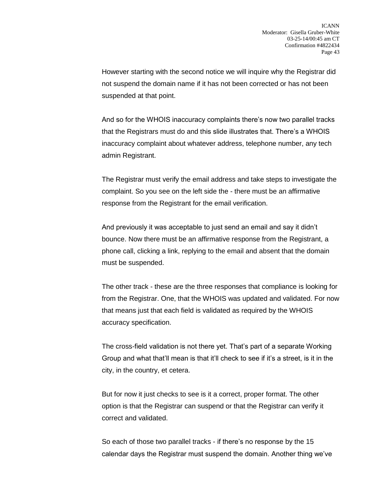However starting with the second notice we will inquire why the Registrar did not suspend the domain name if it has not been corrected or has not been suspended at that point.

And so for the WHOIS inaccuracy complaints there's now two parallel tracks that the Registrars must do and this slide illustrates that. There's a WHOIS inaccuracy complaint about whatever address, telephone number, any tech admin Registrant.

The Registrar must verify the email address and take steps to investigate the complaint. So you see on the left side the - there must be an affirmative response from the Registrant for the email verification.

And previously it was acceptable to just send an email and say it didn't bounce. Now there must be an affirmative response from the Registrant, a phone call, clicking a link, replying to the email and absent that the domain must be suspended.

The other track - these are the three responses that compliance is looking for from the Registrar. One, that the WHOIS was updated and validated. For now that means just that each field is validated as required by the WHOIS accuracy specification.

The cross-field validation is not there yet. That's part of a separate Working Group and what that'll mean is that it'll check to see if it's a street, is it in the city, in the country, et cetera.

But for now it just checks to see is it a correct, proper format. The other option is that the Registrar can suspend or that the Registrar can verify it correct and validated.

So each of those two parallel tracks - if there's no response by the 15 calendar days the Registrar must suspend the domain. Another thing we've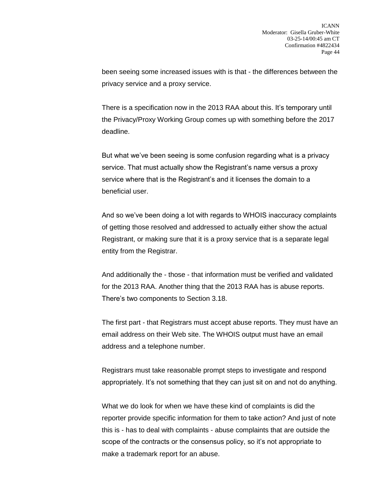been seeing some increased issues with is that - the differences between the privacy service and a proxy service.

There is a specification now in the 2013 RAA about this. It's temporary until the Privacy/Proxy Working Group comes up with something before the 2017 deadline.

But what we've been seeing is some confusion regarding what is a privacy service. That must actually show the Registrant's name versus a proxy service where that is the Registrant's and it licenses the domain to a beneficial user.

And so we've been doing a lot with regards to WHOIS inaccuracy complaints of getting those resolved and addressed to actually either show the actual Registrant, or making sure that it is a proxy service that is a separate legal entity from the Registrar.

And additionally the - those - that information must be verified and validated for the 2013 RAA. Another thing that the 2013 RAA has is abuse reports. There's two components to Section 3.18.

The first part - that Registrars must accept abuse reports. They must have an email address on their Web site. The WHOIS output must have an email address and a telephone number.

Registrars must take reasonable prompt steps to investigate and respond appropriately. It's not something that they can just sit on and not do anything.

What we do look for when we have these kind of complaints is did the reporter provide specific information for them to take action? And just of note this is - has to deal with complaints - abuse complaints that are outside the scope of the contracts or the consensus policy, so it's not appropriate to make a trademark report for an abuse.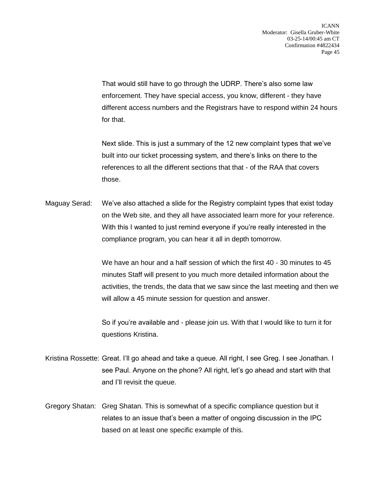That would still have to go through the UDRP. There's also some law enforcement. They have special access, you know, different - they have different access numbers and the Registrars have to respond within 24 hours for that.

Next slide. This is just a summary of the 12 new complaint types that we've built into our ticket processing system, and there's links on there to the references to all the different sections that that - of the RAA that covers those.

Maguay Serad: We've also attached a slide for the Registry complaint types that exist today on the Web site, and they all have associated learn more for your reference. With this I wanted to just remind everyone if you're really interested in the compliance program, you can hear it all in depth tomorrow.

> We have an hour and a half session of which the first 40 - 30 minutes to 45 minutes Staff will present to you much more detailed information about the activities, the trends, the data that we saw since the last meeting and then we will allow a 45 minute session for question and answer.

So if you're available and - please join us. With that I would like to turn it for questions Kristina.

- Kristina Rossette: Great. I'll go ahead and take a queue. All right, I see Greg. I see Jonathan. I see Paul. Anyone on the phone? All right, let's go ahead and start with that and I'll revisit the queue.
- Gregory Shatan: Greg Shatan. This is somewhat of a specific compliance question but it relates to an issue that's been a matter of ongoing discussion in the IPC based on at least one specific example of this.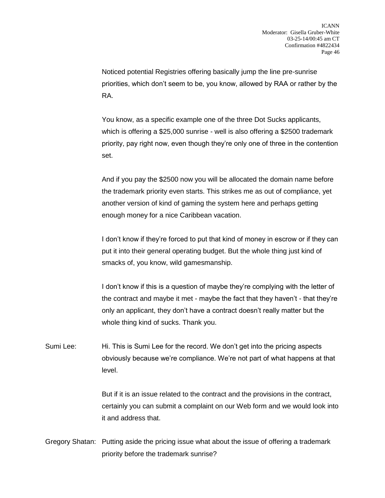Noticed potential Registries offering basically jump the line pre-sunrise priorities, which don't seem to be, you know, allowed by RAA or rather by the RA.

You know, as a specific example one of the three Dot Sucks applicants, which is offering a \$25,000 sunrise - well is also offering a \$2500 trademark priority, pay right now, even though they're only one of three in the contention set.

And if you pay the \$2500 now you will be allocated the domain name before the trademark priority even starts. This strikes me as out of compliance, yet another version of kind of gaming the system here and perhaps getting enough money for a nice Caribbean vacation.

I don't know if they're forced to put that kind of money in escrow or if they can put it into their general operating budget. But the whole thing just kind of smacks of, you know, wild gamesmanship.

I don't know if this is a question of maybe they're complying with the letter of the contract and maybe it met - maybe the fact that they haven't - that they're only an applicant, they don't have a contract doesn't really matter but the whole thing kind of sucks. Thank you.

Sumi Lee: Hi. This is Sumi Lee for the record. We don't get into the pricing aspects obviously because we're compliance. We're not part of what happens at that level.

> But if it is an issue related to the contract and the provisions in the contract, certainly you can submit a complaint on our Web form and we would look into it and address that.

Gregory Shatan: Putting aside the pricing issue what about the issue of offering a trademark priority before the trademark sunrise?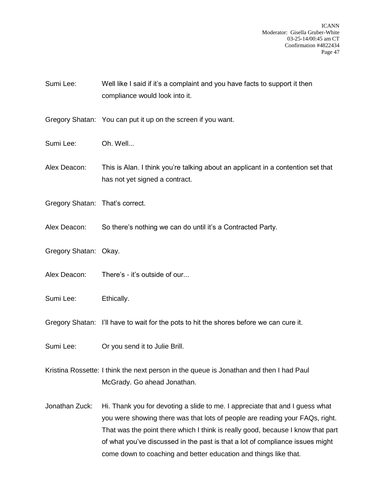ICANN Moderator: Gisella Gruber-White 03-25-14/00:45 am CT Confirmation #4822434 Page 47

Sumi Lee: Well like I said if it's a complaint and you have facts to support it then compliance would look into it.

Gregory Shatan: You can put it up on the screen if you want.

Sumi Lee: Oh. Well...

Alex Deacon: This is Alan. I think you're talking about an applicant in a contention set that has not yet signed a contract.

- Gregory Shatan: That's correct.
- Alex Deacon: So there's nothing we can do until it's a Contracted Party.
- Gregory Shatan: Okay.
- Alex Deacon: There's it's outside of our...
- Sumi Lee: Ethically.

Gregory Shatan: I'll have to wait for the pots to hit the shores before we can cure it.

- Sumi Lee: Or you send it to Julie Brill.
- Kristina Rossette: I think the next person in the queue is Jonathan and then I had Paul McGrady. Go ahead Jonathan.
- Jonathan Zuck: Hi. Thank you for devoting a slide to me. I appreciate that and I guess what you were showing there was that lots of people are reading your FAQs, right. That was the point there which I think is really good, because I know that part of what you've discussed in the past is that a lot of compliance issues might come down to coaching and better education and things like that.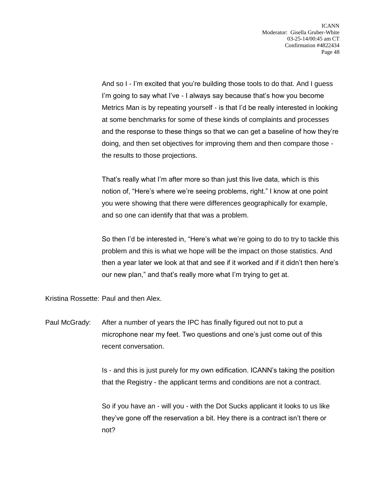And so I - I'm excited that you're building those tools to do that. And I guess I'm going to say what I've - I always say because that's how you become Metrics Man is by repeating yourself - is that I'd be really interested in looking at some benchmarks for some of these kinds of complaints and processes and the response to these things so that we can get a baseline of how they're doing, and then set objectives for improving them and then compare those the results to those projections.

That's really what I'm after more so than just this live data, which is this notion of, "Here's where we're seeing problems, right." I know at one point you were showing that there were differences geographically for example, and so one can identify that that was a problem.

So then I'd be interested in, "Here's what we're going to do to try to tackle this problem and this is what we hope will be the impact on those statistics. And then a year later we look at that and see if it worked and if it didn't then here's our new plan," and that's really more what I'm trying to get at.

Kristina Rossette: Paul and then Alex.

Paul McGrady: After a number of years the IPC has finally figured out not to put a microphone near my feet. Two questions and one's just come out of this recent conversation.

> Is - and this is just purely for my own edification. ICANN's taking the position that the Registry - the applicant terms and conditions are not a contract.

So if you have an - will you - with the Dot Sucks applicant it looks to us like they've gone off the reservation a bit. Hey there is a contract isn't there or not?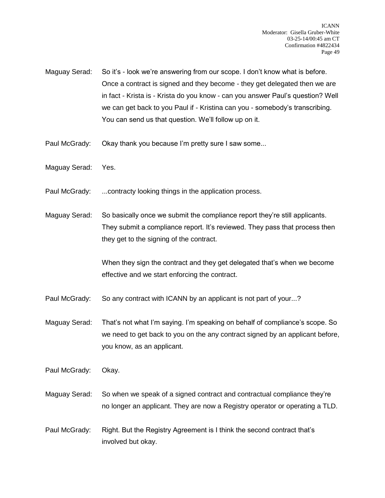Maguay Serad: So it's - look we're answering from our scope. I don't know what is before. Once a contract is signed and they become - they get delegated then we are in fact - Krista is - Krista do you know - can you answer Paul's question? Well we can get back to you Paul if - Kristina can you - somebody's transcribing. You can send us that question. We'll follow up on it.

Paul McGrady: Okay thank you because I'm pretty sure I saw some...

Maguay Serad: Yes.

Paul McGrady: ...contracty looking things in the application process.

Maguay Serad: So basically once we submit the compliance report they're still applicants. They submit a compliance report. It's reviewed. They pass that process then they get to the signing of the contract.

> When they sign the contract and they get delegated that's when we become effective and we start enforcing the contract.

Paul McGrady: So any contract with ICANN by an applicant is not part of your...?

Maguay Serad: That's not what I'm saying. I'm speaking on behalf of compliance's scope. So we need to get back to you on the any contract signed by an applicant before, you know, as an applicant.

Paul McGrady: Okay.

Maguay Serad: So when we speak of a signed contract and contractual compliance they're no longer an applicant. They are now a Registry operator or operating a TLD.

Paul McGrady: Right. But the Registry Agreement is I think the second contract that's involved but okay.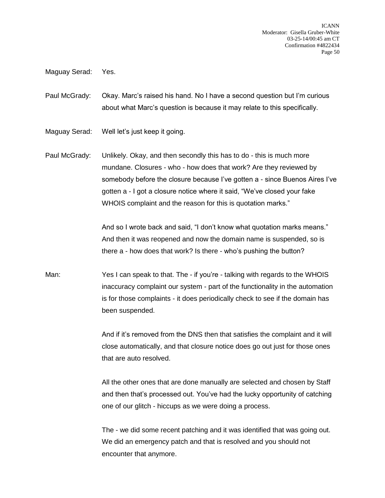ICANN Moderator: Gisella Gruber-White 03-25-14/00:45 am CT Confirmation #4822434 Page 50

Maguay Serad: Yes.

Paul McGrady: Okay. Marc's raised his hand. No I have a second question but I'm curious about what Marc's question is because it may relate to this specifically.

Maguay Serad: Well let's just keep it going.

Paul McGrady: Unlikely. Okay, and then secondly this has to do - this is much more mundane. Closures - who - how does that work? Are they reviewed by somebody before the closure because I've gotten a - since Buenos Aires I've gotten a - I got a closure notice where it said, "We've closed your fake WHOIS complaint and the reason for this is quotation marks."

> And so I wrote back and said, "I don't know what quotation marks means." And then it was reopened and now the domain name is suspended, so is there a - how does that work? Is there - who's pushing the button?

Man: Yes I can speak to that. The - if you're - talking with regards to the WHOIS inaccuracy complaint our system - part of the functionality in the automation is for those complaints - it does periodically check to see if the domain has been suspended.

> And if it's removed from the DNS then that satisfies the complaint and it will close automatically, and that closure notice does go out just for those ones that are auto resolved.

> All the other ones that are done manually are selected and chosen by Staff and then that's processed out. You've had the lucky opportunity of catching one of our glitch - hiccups as we were doing a process.

> The - we did some recent patching and it was identified that was going out. We did an emergency patch and that is resolved and you should not encounter that anymore.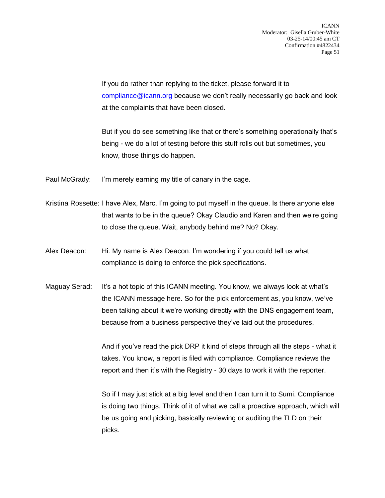If you do rather than replying to the ticket, please forward it to [compliance@icann.org](mailto:compliance@icann.org) because we don't really necessarily go back and look at the complaints that have been closed.

But if you do see something like that or there's something operationally that's being - we do a lot of testing before this stuff rolls out but sometimes, you know, those things do happen.

Paul McGrady: I'm merely earning my title of canary in the cage.

- Kristina Rossette: I have Alex, Marc. I'm going to put myself in the queue. Is there anyone else that wants to be in the queue? Okay Claudio and Karen and then we're going to close the queue. Wait, anybody behind me? No? Okay.
- Alex Deacon: Hi. My name is Alex Deacon. I'm wondering if you could tell us what compliance is doing to enforce the pick specifications.
- Maguay Serad: It's a hot topic of this ICANN meeting. You know, we always look at what's the ICANN message here. So for the pick enforcement as, you know, we've been talking about it we're working directly with the DNS engagement team, because from a business perspective they've laid out the procedures.

And if you've read the pick DRP it kind of steps through all the steps - what it takes. You know, a report is filed with compliance. Compliance reviews the report and then it's with the Registry - 30 days to work it with the reporter.

So if I may just stick at a big level and then I can turn it to Sumi. Compliance is doing two things. Think of it of what we call a proactive approach, which will be us going and picking, basically reviewing or auditing the TLD on their picks.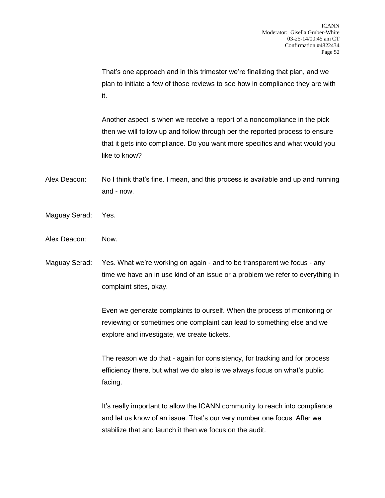That's one approach and in this trimester we're finalizing that plan, and we plan to initiate a few of those reviews to see how in compliance they are with it.

Another aspect is when we receive a report of a noncompliance in the pick then we will follow up and follow through per the reported process to ensure that it gets into compliance. Do you want more specifics and what would you like to know?

- Alex Deacon: No I think that's fine. I mean, and this process is available and up and running and - now.
- Maguay Serad: Yes.
- Alex Deacon: Now.
- Maguay Serad: Yes. What we're working on again and to be transparent we focus any time we have an in use kind of an issue or a problem we refer to everything in complaint sites, okay.

Even we generate complaints to ourself. When the process of monitoring or reviewing or sometimes one complaint can lead to something else and we explore and investigate, we create tickets.

The reason we do that - again for consistency, for tracking and for process efficiency there, but what we do also is we always focus on what's public facing.

It's really important to allow the ICANN community to reach into compliance and let us know of an issue. That's our very number one focus. After we stabilize that and launch it then we focus on the audit.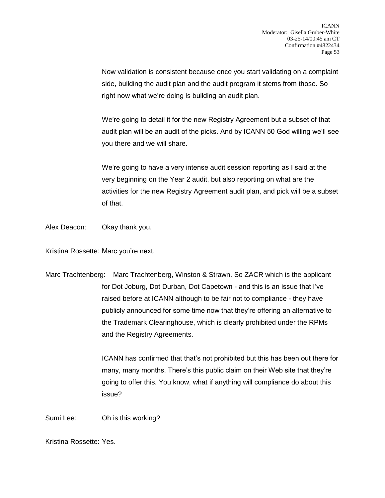Now validation is consistent because once you start validating on a complaint side, building the audit plan and the audit program it stems from those. So right now what we're doing is building an audit plan.

We're going to detail it for the new Registry Agreement but a subset of that audit plan will be an audit of the picks. And by ICANN 50 God willing we'll see you there and we will share.

We're going to have a very intense audit session reporting as I said at the very beginning on the Year 2 audit, but also reporting on what are the activities for the new Registry Agreement audit plan, and pick will be a subset of that.

Alex Deacon: Okay thank you.

Kristina Rossette: Marc you're next.

Marc Trachtenberg: Marc Trachtenberg, Winston & Strawn. So ZACR which is the applicant for Dot Joburg, Dot Durban, Dot Capetown - and this is an issue that I've raised before at ICANN although to be fair not to compliance - they have publicly announced for some time now that they're offering an alternative to the Trademark Clearinghouse, which is clearly prohibited under the RPMs and the Registry Agreements.

> ICANN has confirmed that that's not prohibited but this has been out there for many, many months. There's this public claim on their Web site that they're going to offer this. You know, what if anything will compliance do about this issue?

Sumi Lee: Oh is this working?

Kristina Rossette: Yes.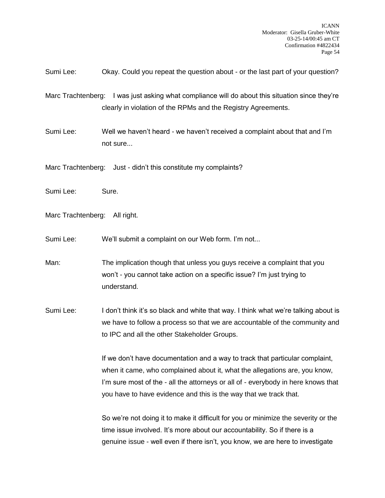Sumi Lee: Okay. Could you repeat the question about - or the last part of your question?

Marc Trachtenberg: I was just asking what compliance will do about this situation since they're clearly in violation of the RPMs and the Registry Agreements.

Sumi Lee: Well we haven't heard - we haven't received a complaint about that and I'm not sure...

Marc Trachtenberg: Just - didn't this constitute my complaints?

Sumi Lee: Sure.

Marc Trachtenberg: All right.

Sumi Lee: We'll submit a complaint on our Web form. I'm not...

Man: The implication though that unless you guys receive a complaint that you won't - you cannot take action on a specific issue? I'm just trying to understand.

Sumi Lee: I don't think it's so black and white that way. I think what we're talking about is we have to follow a process so that we are accountable of the community and to IPC and all the other Stakeholder Groups.

> If we don't have documentation and a way to track that particular complaint, when it came, who complained about it, what the allegations are, you know, I'm sure most of the - all the attorneys or all of - everybody in here knows that you have to have evidence and this is the way that we track that.

> So we're not doing it to make it difficult for you or minimize the severity or the time issue involved. It's more about our accountability. So if there is a genuine issue - well even if there isn't, you know, we are here to investigate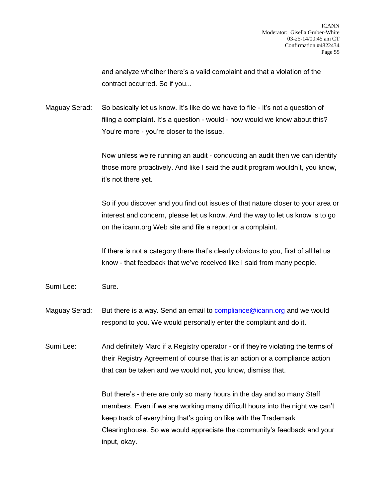and analyze whether there's a valid complaint and that a violation of the contract occurred. So if you...

Maguay Serad: So basically let us know. It's like do we have to file - it's not a question of filing a complaint. It's a question - would - how would we know about this? You're more - you're closer to the issue.

> Now unless we're running an audit - conducting an audit then we can identify those more proactively. And like I said the audit program wouldn't, you know, it's not there yet.

> So if you discover and you find out issues of that nature closer to your area or interest and concern, please let us know. And the way to let us know is to go on the icann.org Web site and file a report or a complaint.

If there is not a category there that's clearly obvious to you, first of all let us know - that feedback that we've received like I said from many people.

Sumi Lee: Sure.

Maguay Serad: But there is a way. Send an email to [compliance@icann.org](mailto:compliance@icann.org) and we would respond to you. We would personally enter the complaint and do it.

Sumi Lee: And definitely Marc if a Registry operator - or if they're violating the terms of their Registry Agreement of course that is an action or a compliance action that can be taken and we would not, you know, dismiss that.

> But there's - there are only so many hours in the day and so many Staff members. Even if we are working many difficult hours into the night we can't keep track of everything that's going on like with the Trademark Clearinghouse. So we would appreciate the community's feedback and your input, okay.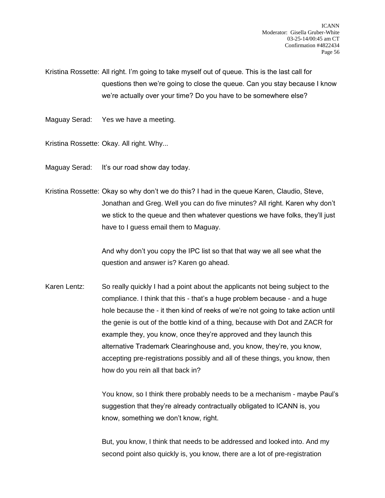Kristina Rossette: All right. I'm going to take myself out of queue. This is the last call for questions then we're going to close the queue. Can you stay because I know we're actually over your time? Do you have to be somewhere else?

Maguay Serad: Yes we have a meeting.

Kristina Rossette: Okay. All right. Why...

Maguay Serad: It's our road show day today.

Kristina Rossette: Okay so why don't we do this? I had in the queue Karen, Claudio, Steve, Jonathan and Greg. Well you can do five minutes? All right. Karen why don't we stick to the queue and then whatever questions we have folks, they'll just have to I guess email them to Maguay.

> And why don't you copy the IPC list so that that way we all see what the question and answer is? Karen go ahead.

Karen Lentz: So really quickly I had a point about the applicants not being subject to the compliance. I think that this - that's a huge problem because - and a huge hole because the - it then kind of reeks of we're not going to take action until the genie is out of the bottle kind of a thing, because with Dot and ZACR for example they, you know, once they're approved and they launch this alternative Trademark Clearinghouse and, you know, they're, you know, accepting pre-registrations possibly and all of these things, you know, then how do you rein all that back in?

> You know, so I think there probably needs to be a mechanism - maybe Paul's suggestion that they're already contractually obligated to ICANN is, you know, something we don't know, right.

But, you know, I think that needs to be addressed and looked into. And my second point also quickly is, you know, there are a lot of pre-registration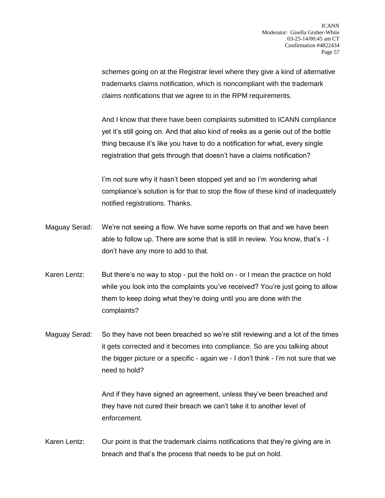schemes going on at the Registrar level where they give a kind of alternative trademarks claims notification, which is noncompliant with the trademark claims notifications that we agree to in the RPM requirements.

And I know that there have been complaints submitted to ICANN compliance yet it's still going on. And that also kind of reeks as a genie out of the bottle thing because it's like you have to do a notification for what, every single registration that gets through that doesn't have a claims notification?

I'm not sure why it hasn't been stopped yet and so I'm wondering what compliance's solution is for that to stop the flow of these kind of inadequately notified registrations. Thanks.

- Maguay Serad: We're not seeing a flow. We have some reports on that and we have been able to follow up. There are some that is still in review. You know, that's - I don't have any more to add to that.
- Karen Lentz: But there's no way to stop put the hold on or I mean the practice on hold while you look into the complaints you've received? You're just going to allow them to keep doing what they're doing until you are done with the complaints?
- Maguay Serad: So they have not been breached so we're still reviewing and a lot of the times it gets corrected and it becomes into compliance. So are you talking about the bigger picture or a specific - again we - I don't think - I'm not sure that we need to hold?

And if they have signed an agreement, unless they've been breached and they have not cured their breach we can't take it to another level of enforcement.

Karen Lentz: Our point is that the trademark claims notifications that they're giving are in breach and that's the process that needs to be put on hold.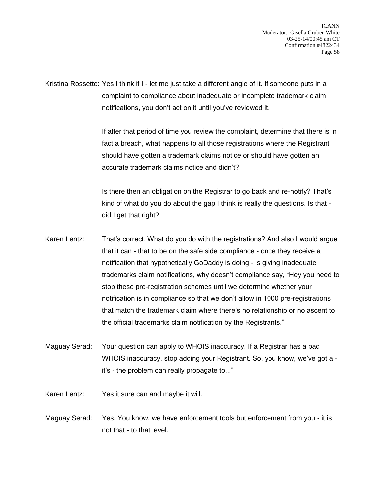Kristina Rossette: Yes I think if I - let me just take a different angle of it. If someone puts in a complaint to compliance about inadequate or incomplete trademark claim notifications, you don't act on it until you've reviewed it.

> If after that period of time you review the complaint, determine that there is in fact a breach, what happens to all those registrations where the Registrant should have gotten a trademark claims notice or should have gotten an accurate trademark claims notice and didn't?

Is there then an obligation on the Registrar to go back and re-notify? That's kind of what do you do about the gap I think is really the questions. Is that did I get that right?

- Karen Lentz: That's correct. What do you do with the registrations? And also I would argue that it can - that to be on the safe side compliance - once they receive a notification that hypothetically GoDaddy is doing - is giving inadequate trademarks claim notifications, why doesn't compliance say, "Hey you need to stop these pre-registration schemes until we determine whether your notification is in compliance so that we don't allow in 1000 pre-registrations that match the trademark claim where there's no relationship or no ascent to the official trademarks claim notification by the Registrants."
- Maguay Serad: Your question can apply to WHOIS inaccuracy. If a Registrar has a bad WHOIS inaccuracy, stop adding your Registrant. So, you know, we've got a it's - the problem can really propagate to..."
- Karen Lentz: Yes it sure can and maybe it will.
- Maguay Serad: Yes. You know, we have enforcement tools but enforcement from you it is not that - to that level.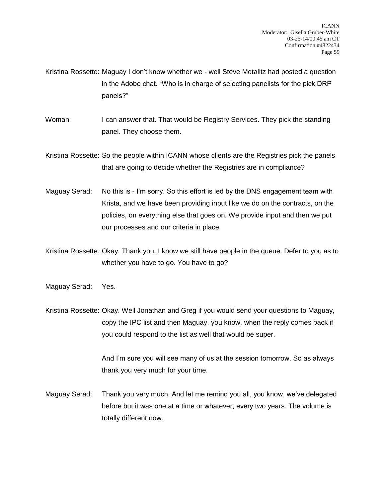Kristina Rossette: Maguay I don't know whether we - well Steve Metalitz had posted a question in the Adobe chat. "Who is in charge of selecting panelists for the pick DRP panels?"

Woman: I can answer that. That would be Registry Services. They pick the standing panel. They choose them.

Kristina Rossette: So the people within ICANN whose clients are the Registries pick the panels that are going to decide whether the Registries are in compliance?

- Maguay Serad: No this is I'm sorry. So this effort is led by the DNS engagement team with Krista, and we have been providing input like we do on the contracts, on the policies, on everything else that goes on. We provide input and then we put our processes and our criteria in place.
- Kristina Rossette: Okay. Thank you. I know we still have people in the queue. Defer to you as to whether you have to go. You have to go?
- Maguay Serad: Yes.
- Kristina Rossette: Okay. Well Jonathan and Greg if you would send your questions to Maguay, copy the IPC list and then Maguay, you know, when the reply comes back if you could respond to the list as well that would be super.

And I'm sure you will see many of us at the session tomorrow. So as always thank you very much for your time.

Maguay Serad: Thank you very much. And let me remind you all, you know, we've delegated before but it was one at a time or whatever, every two years. The volume is totally different now.